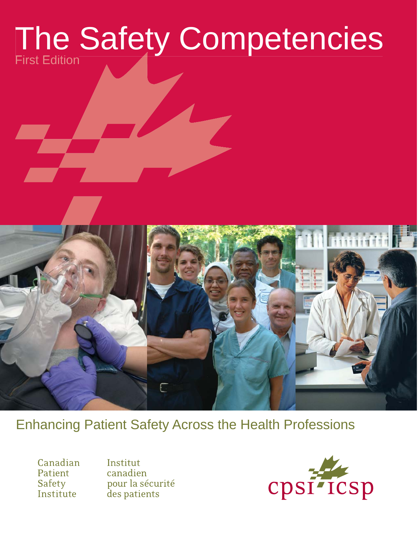# The Safety Competencies First Edition



Canadian Patient Safety Institute

Institut canadien pour la sécurité des patients

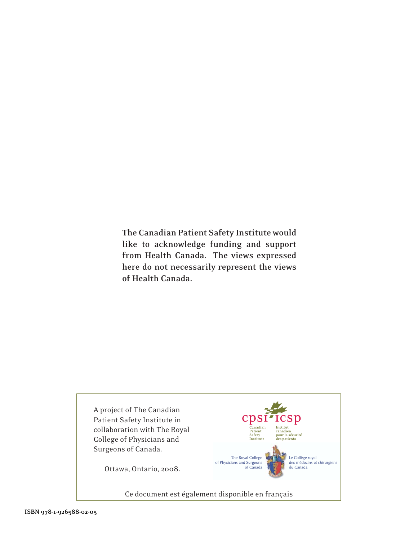**The Canadian Patient Safety Institute would like to acknowledge funding and support from Health Canada. The views expressed here do not necessarily represent the views of Health Canada.**

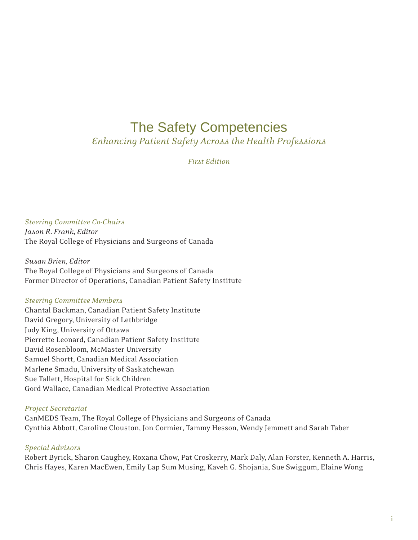# The Safety Competencies

*Enhancing Patient Safety Across the Health Professions*

*First Edition*

*Steering Committee Co-Chairs Jason R. Frank, Editor* The Royal College of Physicians and Surgeons of Canada

*Susan Brien, Editor* The Royal College of Physicians and Surgeons of Canada Former Director of Operations, Canadian Patient Safety Institute

### *Steering Committee Members*

Chantal Backman, Canadian Patient Safety Institute David Gregory, University of Lethbridge Judy King, University of Ottawa Pierrette Leonard, Canadian Patient Safety Institute David Rosenbloom, McMaster University Samuel Shortt, Canadian Medical Association Marlene Smadu, University of Saskatchewan Sue Tallett, Hospital for Sick Children Gord Wallace, Canadian Medical Protective Association

### *Project Secretariat*

CanMEDS Team, The Royal College of Physicians and Surgeons of Canada Cynthia Abbott, Caroline Clouston, Jon Cormier, Tammy Hesson, Wendy Jemmett and Sarah Taber

### *Special Advisors*

Robert Byrick, Sharon Caughey, Roxana Chow, Pat Croskerry, Mark Daly, Alan Forster, Kenneth A. Harris, Chris Hayes, Karen MacEwen, Emily Lap Sum Musing, Kaveh G. Shojania, Sue Swiggum, Elaine Wong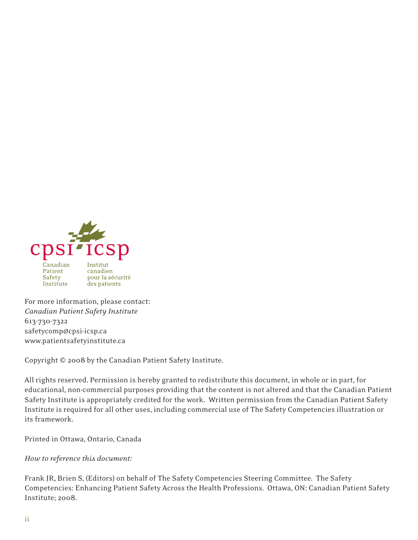

For more information, please contact: *Canadian Patient Safety Institute* 613-730-7322 safetycomp@cpsi-icsp.ca www.patientsafetyinstitute.ca

Copyright © 2008 by the Canadian Patient Safety Institute.

All rights reserved. Permission is hereby granted to redistribute this document, in whole or in part, for educational, non-commercial purposes providing that the content is not altered and that the Canadian Patient Safety Institute is appropriately credited for the work. Written permission from the Canadian Patient Safety Institute is required for all other uses, including commercial use of The Safety Competencies illustration or its framework.

Printed in Ottawa, Ontario, Canada

*How to reference this document:*

Frank JR, Brien S, (Editors) on behalf of The Safety Competencies Steering Committee. The Safety Competencies: Enhancing Patient Safety Across the Health Professions. Ottawa, ON: Canadian Patient Safety Institute; 2008.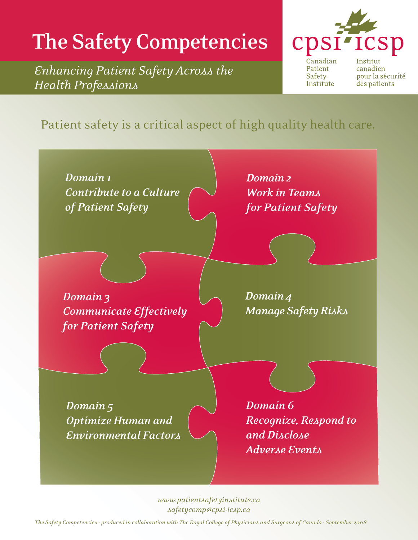# **The Safety Competencies**

*Enhancing Patient Safety Across the Health Professions*



Canadian Patient Safety Institute

Institut canadien pour la sécurité des patients

# Patient safety is a critical aspect of high quality health care.



*www.patientsafetyinstitute.ca safetycomp@cpsi-icsp.ca*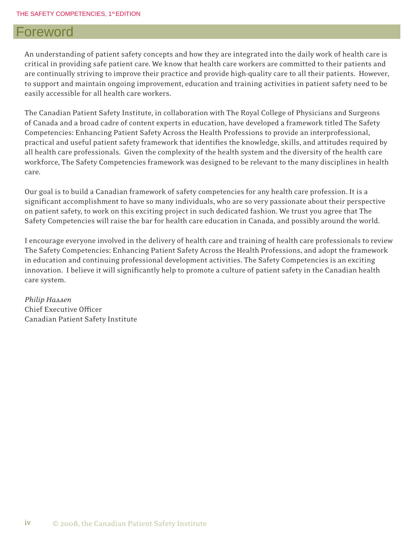### Foreword

An understanding of patient safety concepts and how they are integrated into the daily work of health care is critical in providing safe patient care. We know that health care workers are committed to their patients and are continually striving to improve their practice and provide high-quality care to all their patients. However, to support and maintain ongoing improvement, education and training activities in patient safety need to be easily accessible for all health care workers.

The Canadian Patient Safety Institute, in collaboration with The Royal College of Physicians and Surgeons of Canada and a broad cadre of content experts in education, have developed a framework titled The Safety Competencies: Enhancing Patient Safety Across the Health Professions to provide an interprofessional, practical and useful patient safety framework that identifies the knowledge, skills, and attitudes required by all health care professionals. Given the complexity of the health system and the diversity of the health care workforce, The Safety Competencies framework was designed to be relevant to the many disciplines in health care.

Our goal is to build a Canadian framework of safety competencies for any health care profession. It is a significant accomplishment to have so many individuals, who are so very passionate about their perspective on patient safety, to work on this exciting project in such dedicated fashion. We trust you agree that The Safety Competencies will raise the bar for health care education in Canada, and possibly around the world.

I encourage everyone involved in the delivery of health care and training of health care professionals to review The Safety Competencies: Enhancing Patient Safety Across the Health Professions, and adopt the framework in education and continuing professional development activities. The Safety Competencies is an exciting innovation. I believe it will significantly help to promote a culture of patient safety in the Canadian health care system.

*Philip Hassen* Chief Executive Officer Canadian Patient Safety Institute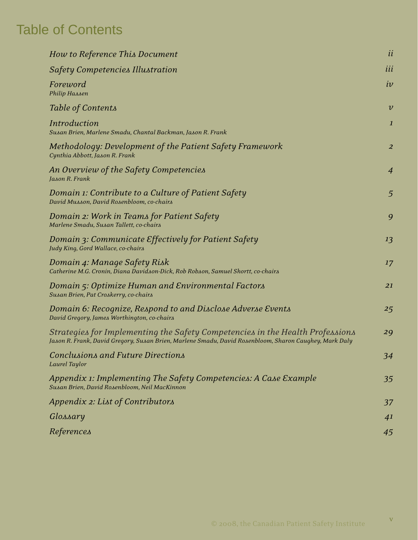# Table of Contents

| How to Reference This Document                                                                                                                                                          | ii                 |
|-----------------------------------------------------------------------------------------------------------------------------------------------------------------------------------------|--------------------|
| <b>Safety Competencies Illustration</b>                                                                                                                                                 | iii                |
| Foreword<br>Philip Hassen                                                                                                                                                               | iv                 |
| <b>Table of Contents</b>                                                                                                                                                                | $\boldsymbol{\nu}$ |
| <b>Introduction</b><br>Susan Brien, Marlene Smadu, Chantal Backman, Jason R. Frank                                                                                                      | $\mathbf{1}$       |
| Methodology: Development of the Patient Safety Framework<br>Cynthia Abbott, Jason R. Frank                                                                                              | $\overline{a}$     |
| An Overview of the Safety Competencies<br>Jason R. Frank                                                                                                                                | $\overline{4}$     |
| Domain 1: Contribute to a Culture of Patient Safety<br>David Musson, David Rosenbloom, co-chairs                                                                                        | $\overline{5}$     |
| Domain 2: Work in Teams for Patient Safety<br>Marlene Smadu, Susan Tallett, co-chairs                                                                                                   | 9                  |
| Domain 3: Communicate Effectively for Patient Safety<br>Judy King, Gord Wallace, co-chairs                                                                                              | 13                 |
| Domain 4: Manage Safety Risk<br>Catherine M.G. Cronin, Diana Davidson-Dick, Rob Robson, Samuel Shortt, co-chairs                                                                        | 17                 |
| <b>Domain 5: Optimize Human and Environmental Factors</b><br>Susan Brien, Pat Croskerry, co-chairs                                                                                      | 21                 |
| Domain 6: Recognize, Respond to and Disclose Adverse Events<br>David Gregory, James Worthington, co-chairs                                                                              | 25                 |
| Strategies for Implementing the Safety Competencies in the Health Professions<br>Jason R. Frank, David Gregory, Susan Brien, Marlene Smadu, David Rosenbloom, Sharon Caughey, Mark Daly | 29                 |
| Conclusions and Future Directions<br>Laurel Taylor                                                                                                                                      | 34                 |
| Appendix 1: Implementing The Safety Competencies: A Case Example<br>Susan Brien, David Rosenbloom, Neil MacKinnon                                                                       | 35                 |
| Appendix 2: List of Contributors                                                                                                                                                        | 37                 |
| Glossary                                                                                                                                                                                | 41                 |
| References                                                                                                                                                                              | 45                 |
|                                                                                                                                                                                         |                    |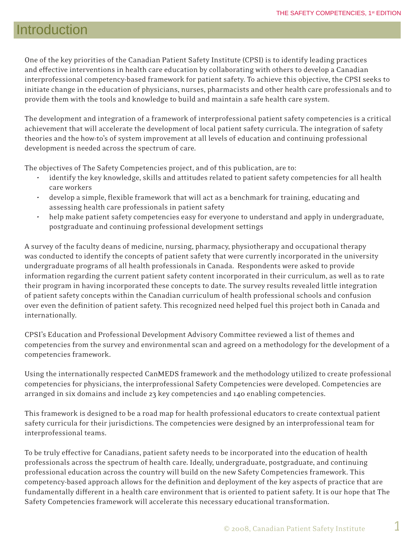# Introduction

One of the key priorities of the Canadian Patient Safety Institute (CPSI) is to identify leading practices and effective interventions in health care education by collaborating with others to develop a Canadian interprofessional competency-based framework for patient safety. To achieve this objective, the CPSI seeks to initiate change in the education of physicians, nurses, pharmacists and other health care professionals and to provide them with the tools and knowledge to build and maintain a safe health care system.

The development and integration of a framework of interprofessional patient safety competencies is a critical achievement that will accelerate the development of local patient safety curricula. The integration of safety theories and the how-to's of system improvement at all levels of education and continuing professional development is needed across the spectrum of care.

The objectives of The Safety Competencies project, and of this publication, are to:

- identify the key knowledge, skills and attitudes related to patient safety competencies for all health care workers
- develop a simple, flexible framework that will act as a benchmark for training, educating and assessing health care professionals in patient safety
- help make patient safety competencies easy for everyone to understand and apply in undergraduate, postgraduate and continuing professional development settings

A survey of the faculty deans of medicine, nursing, pharmacy, physiotherapy and occupational therapy was conducted to identify the concepts of patient safety that were currently incorporated in the university undergraduate programs of all health professionals in Canada. Respondents were asked to provide information regarding the current patient safety content incorporated in their curriculum, as well as to rate their program in having incorporated these concepts to date. The survey results revealed little integration of patient safety concepts within the Canadian curriculum of health professional schools and confusion over even the definition of patient safety. This recognized need helped fuel this project both in Canada and internationally.

CPSI's Education and Professional Development Advisory Committee reviewed a list of themes and competencies from the survey and environmental scan and agreed on a methodology for the development of a competencies framework.

Using the internationally respected CanMEDS framework and the methodology utilized to create professional competencies for physicians, the interprofessional Safety Competencies were developed. Competencies are arranged in six domains and include 23 key competencies and 140 enabling competencies.

This framework is designed to be a road map for health professional educators to create contextual patient safety curricula for their jurisdictions. The competencies were designed by an interprofessional team for interprofessional teams.

To be truly effective for Canadians, patient safety needs to be incorporated into the education of health professionals across the spectrum of health care. Ideally, undergraduate, postgraduate, and continuing professional education across the country will build on the new Safety Competencies framework. This competency-based approach allows for the definition and deployment of the key aspects of practice that are fundamentally different in a health care environment that is oriented to patient safety. It is our hope that The Safety Competencies framework will accelerate this necessary educational transformation.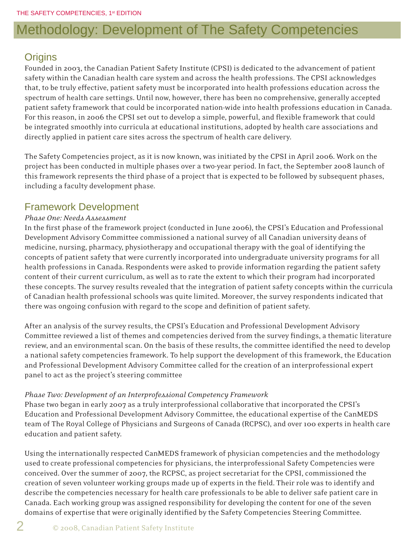# Methodology: Development of The Safety Competencies

### **Origins**

Founded in 2003, the Canadian Patient Safety Institute (CPSI) is dedicated to the advancement of patient safety within the Canadian health care system and across the health professions. The CPSI acknowledges that, to be truly effective, patient safety must be incorporated into health professions education across the spectrum of health care settings. Until now, however, there has been no comprehensive, generally accepted patient safety framework that could be incorporated nation-wide into health professions education in Canada. For this reason, in 2006 the CPSI set out to develop a simple, powerful, and flexible framework that could be integrated smoothly into curricula at educational institutions, adopted by health care associations and directly applied in patient care sites across the spectrum of health care delivery.

The Safety Competencies project, as it is now known, was initiated by the CPSI in April 2006. Work on the project has been conducted in multiple phases over a two-year period. In fact, the September 2008 launch of this framework represents the third phase of a project that is expected to be followed by subsequent phases, including a faculty development phase.

### Framework Development

### *Phase One: Needs Assessment*

In the first phase of the framework project (conducted in June 2006), the CPSI's Education and Professional Development Advisory Committee commissioned a national survey of all Canadian university deans of medicine, nursing, pharmacy, physiotherapy and occupational therapy with the goal of identifying the concepts of patient safety that were currently incorporated into undergraduate university programs for all health professions in Canada. Respondents were asked to provide information regarding the patient safety content of their current curriculum, as well as to rate the extent to which their program had incorporated these concepts. The survey results revealed that the integration of patient safety concepts within the curricula of Canadian health professional schools was quite limited. Moreover, the survey respondents indicated that there was ongoing confusion with regard to the scope and definition of patient safety.

After an analysis of the survey results, the CPSI's Education and Professional Development Advisory Committee reviewed a list of themes and competencies derived from the survey findings, a thematic literature review, and an environmental scan. On the basis of these results, the committee identified the need to develop a national safety competencies framework. To help support the development of this framework, the Education and Professional Development Advisory Committee called for the creation of an interprofessional expert panel to act as the project's steering committee

### *Phase Two: Development of an Interprofessional Competency Framework*

Phase two began in early 2007 as a truly interprofessional collaborative that incorporated the CPSI's Education and Professional Development Advisory Committee, the educational expertise of the CanMEDS team of The Royal College of Physicians and Surgeons of Canada (RCPSC), and over 100 experts in health care education and patient safety.

Using the internationally respected CanMEDS framework of physician competencies and the methodology used to create professional competencies for physicians, the interprofessional Safety Competencies were conceived. Over the summer of 2007, the RCPSC, as project secretariat for the CPSI, commissioned the creation of seven volunteer working groups made up of experts in the field. Their role was to identify and describe the competencies necessary for health care professionals to be able to deliver safe patient care in Canada. Each working group was assigned responsibility for developing the content for one of the seven domains of expertise that were originally identified by the Safety Competencies Steering Committee.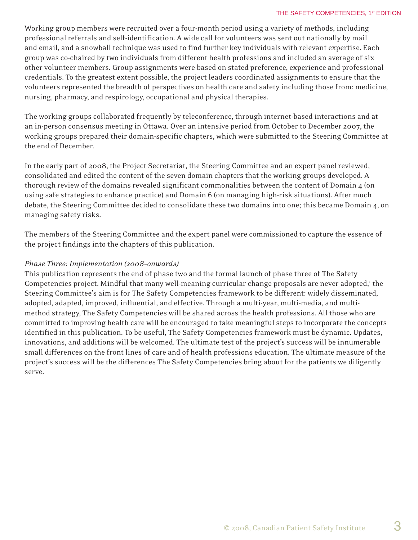#### THE SAFETY COMPETENCIES, 1st EDITION

Working group members were recruited over a four-month period using a variety of methods, including professional referrals and self-identification. A wide call for volunteers was sent out nationally by mail and email, and a snowball technique was used to find further key individuals with relevant expertise. Each group was co-chaired by two individuals from different health professions and included an average of six other volunteer members. Group assignments were based on stated preference, experience and professional credentials. To the greatest extent possible, the project leaders coordinated assignments to ensure that the volunteers represented the breadth of perspectives on health care and safety including those from: medicine, nursing, pharmacy, and respirology, occupational and physical therapies.

The working groups collaborated frequently by teleconference, through internet-based interactions and at an in-person consensus meeting in Ottawa. Over an intensive period from October to December 2007, the working groups prepared their domain-specific chapters, which were submitted to the Steering Committee at the end of December.

In the early part of 2008, the Project Secretariat, the Steering Committee and an expert panel reviewed, consolidated and edited the content of the seven domain chapters that the working groups developed. A thorough review of the domains revealed significant commonalities between the content of Domain 4 (on using safe strategies to enhance practice) and Domain 6 (on managing high-risk situations). After much debate, the Steering Committee decided to consolidate these two domains into one; this became Domain 4, on managing safety risks.

The members of the Steering Committee and the expert panel were commissioned to capture the essence of the project findings into the chapters of this publication.

#### *Phase Three: Implementation (2008–onwards)*

This publication represents the end of phase two and the formal launch of phase three of The Safety Competencies project. Mindful that many well-meaning curricular change proposals are never adopted,<sup>1</sup> the Steering Committee's aim is for The Safety Competencies framework to be different: widely disseminated, adopted, adapted, improved, influential, and effective. Through a multi-year, multi-media, and multimethod strategy, The Safety Competencies will be shared across the health professions. All those who are committed to improving health care will be encouraged to take meaningful steps to incorporate the concepts identified in this publication. To be useful, The Safety Competencies framework must be dynamic. Updates, innovations, and additions will be welcomed. The ultimate test of the project's success will be innumerable small differences on the front lines of care and of health professions education. The ultimate measure of the project's success will be the differences The Safety Competencies bring about for the patients we diligently serve.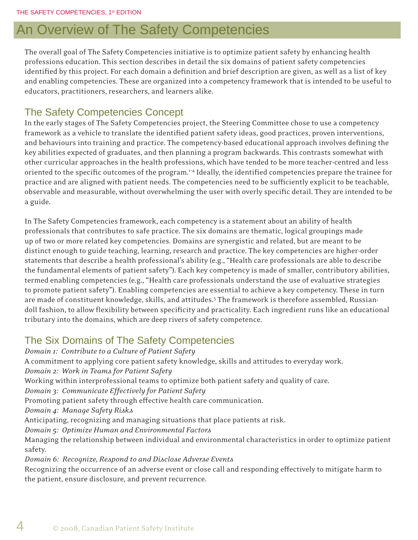# An Overview of The Safety Competencies

The overall goal of The Safety Competencies initiative is to optimize patient safety by enhancing health professions education. This section describes in detail the six domains of patient safety competencies identified by this project. For each domain a definition and brief description are given, as well as a list of key and enabling competencies. These are organized into a competency framework that is intended to be useful to educators, practitioners, researchers, and learners alike.

### The Safety Competencies Concept

In the early stages of The Safety Competencies project, the Steering Committee chose to use a competency framework as a vehicle to translate the identified patient safety ideas, good practices, proven interventions, and behaviours into training and practice. The competency-based educational approach involves defining the key abilities expected of graduates, and then planning a program backwards. This contrasts somewhat with other curricular approaches in the health professions, which have tended to be more teacher-centred and less oriented to the specific outcomes of the program.<sup>1-4</sup> Ideally, the identified competencies prepare the trainee for practice and are aligned with patient needs. The competencies need to be sufficiently explicit to be teachable, observable and measurable, without overwhelming the user with overly specific detail. They are intended to be a guide.

In The Safety Competencies framework, each competency is a statement about an ability of health professionals that contributes to safe practice. The six domains are thematic, logical groupings made up of two or more related key competencies. Domains are synergistic and related, but are meant to be distinct enough to guide teaching, learning, research and practice. The key competencies are higher-order statements that describe a health professional's ability (e.g., "Health care professionals are able to describe the fundamental elements of patient safety"). Each key competency is made of smaller, contributory abilities, termed enabling competencies (e.g., "Health care professionals understand the use of evaluative strategies to promote patient safety"). Enabling competencies are essential to achieve a key competency. These in turn are made of constituent knowledge, skills, and attitudes.<sup>5</sup> The framework is therefore assembled, Russiandoll fashion, to allow flexibility between specificity and practicality. Each ingredient runs like an educational tributary into the domains, which are deep rivers of safety competence.

### The Six Domains of The Safety Competencies

*Domain 1: Contribute to a Culture of Patient Safety* A commitment to applying core patient safety knowledge, skills and attitudes to everyday work. *Domain 2: Work in Teams for Patient Safety* Working within interprofessional teams to optimize both patient safety and quality of care. *Domain 3: Communicate Effectively for Patient Safety* Promoting patient safety through effective health care communication. *Domain 4: Manage Safety Risks* Anticipating, recognizing and managing situations that place patients at risk. *Domain 5: Optimize Human and Environmental Factors* Managing the relationship between individual and environmental characteristics in order to optimize patient safety. *Domain 6: Recognize, Respond to and Disclose Adverse Events* Recognizing the occurrence of an adverse event or close call and responding effectively to mitigate harm to the patient, ensure disclosure, and prevent recurrence.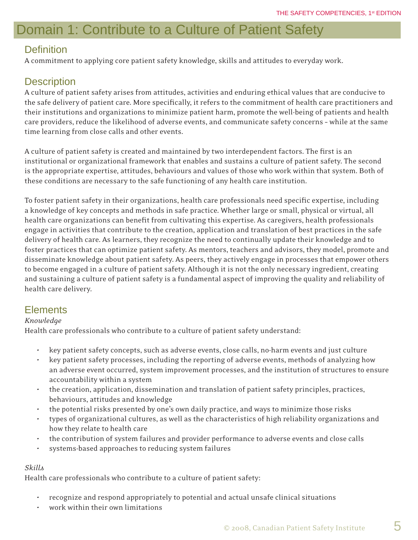# Domain 1: Contribute to a Culture of Patient Safety

### **Definition**

A commitment to applying core patient safety knowledge, skills and attitudes to everyday work.

### **Description**

A culture of patient safety arises from attitudes, activities and enduring ethical values that are conducive to the safe delivery of patient care. More specifically, it refers to the commitment of health care practitioners and their institutions and organizations to minimize patient harm, promote the well-being of patients and health care providers, reduce the likelihood of adverse events, and communicate safety concerns – while at the same time learning from close calls and other events.

A culture of patient safety is created and maintained by two interdependent factors. The first is an institutional or organizational framework that enables and sustains a culture of patient safety. The second is the appropriate expertise, attitudes, behaviours and values of those who work within that system. Both of these conditions are necessary to the safe functioning of any health care institution.

To foster patient safety in their organizations, health care professionals need specific expertise, including a knowledge of key concepts and methods in safe practice. Whether large or small, physical or virtual, all health care organizations can benefit from cultivating this expertise. As caregivers, health professionals engage in activities that contribute to the creation, application and translation of best practices in the safe delivery of health care. As learners, they recognize the need to continually update their knowledge and to foster practices that can optimize patient safety. As mentors, teachers and advisors, they model, promote and disseminate knowledge about patient safety. As peers, they actively engage in processes that empower others to become engaged in a culture of patient safety. Although it is not the only necessary ingredient, creating and sustaining a culture of patient safety is a fundamental aspect of improving the quality and reliability of health care delivery.

### **Elements**

### *Knowledge*

Health care professionals who contribute to a culture of patient safety understand:

- key patient safety concepts, such as adverse events, close calls, no-harm events and just culture
- key patient safety processes, including the reporting of adverse events, methods of analyzing how an adverse event occurred, system improvement processes, and the institution of structures to ensure accountability within a system
- the creation, application, dissemination and translation of patient safety principles, practices, behaviours, attitudes and knowledge
- the potential risks presented by one's own daily practice, and ways to minimize those risks
- types of organizational cultures, as well as the characteristics of high reliability organizations and how they relate to health care
- the contribution of system failures and provider performance to adverse events and close calls
- systems-based approaches to reducing system failures

### *Skills*

Health care professionals who contribute to a culture of patient safety:

- recognize and respond appropriately to potential and actual unsafe clinical situations
- work within their own limitations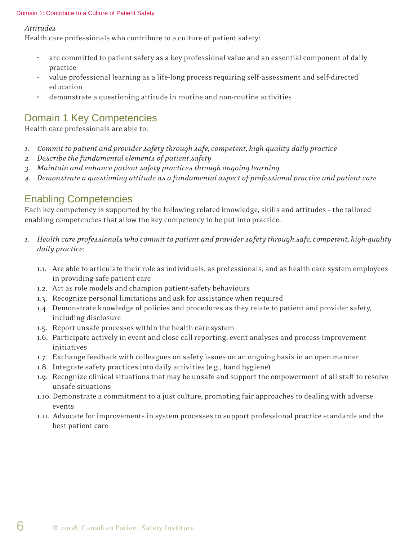#### Domain 1: Contribute to a Culture of Patient Safety

*Attitudes*

Health care professionals who contribute to a culture of patient safety:

- are committed to patient safety as a key professional value and an essential component of daily practice
- value professional learning as a life-long process requiring self-assessment and self-directed education
- demonstrate a questioning attitude in routine and non-routine activities

### Domain 1 Key Competencies

Health care professionals are able to:

- *1. Commit to patient and provider safety through safe, competent, high-quality daily practice*
- *2. Describe the fundamental elements of patient safety*
- *3. Maintain and enhance patient safety practices through ongoing learning*
- *4. Demonstrate a questioning attitude as a fundamental aspect of professional practice and patient care*

### Enabling Competencies

Each key competency is supported by the following related knowledge, skills and attitudes – the tailored enabling competencies that allow the key competency to be put into practice.

- *1. Health care professionals who commit to patient and provider safety through safe, competent, high-quality daily practice:*
	- 1.1. Are able to articulate their role as individuals, as professionals, and as health care system employees in providing safe patient care
	- 1.2. Act as role models and champion patient-safety behaviours
	- 1.3. Recognize personal limitations and ask for assistance when required
	- 1.4. Demonstrate knowledge of policies and procedures as they relate to patient and provider safety, including disclosure
	- 1.5. Report unsafe processes within the health care system
	- 1.6. Participate actively in event and close call reporting, event analyses and process improvement initiatives
	- 1.7. Exchange feedback with colleagues on safety issues on an ongoing basis in an open manner
	- 1.8. Integrate safety practices into daily activities (e.g., hand hygiene)
	- 1.9. Recognize clinical situations that may be unsafe and support the empowerment of all staff to resolve unsafe situations
	- 1.10. Demonstrate a commitment to a just culture, promoting fair approaches to dealing with adverse events
	- 1.11. Advocate for improvements in system processes to support professional practice standards and the best patient care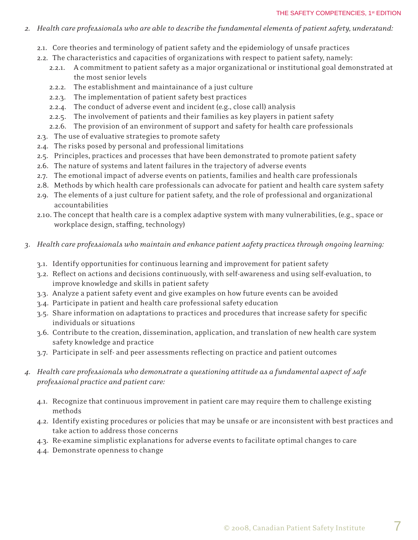- *2. Health care professionals who are able to describe the fundamental elements of patient safety, understand:*
	- 2.1. Core theories and terminology of patient safety and the epidemiology of unsafe practices
	- 2.2. The characteristics and capacities of organizations with respect to patient safety, namely:
		- 2.2.1. A commitment to patient safety as a major organizational or institutional goal demonstrated at the most senior levels
		- 2.2.2. The establishment and maintainance of a just culture
		- 2.2.3. The implementation of patient safety best practices
		- 2.2.4. The conduct of adverse event and incident (e.g., close call) analysis
		- 2.2.5. The involvement of patients and their families as key players in patient safety
		- 2.2.6. The provision of an environment of support and safety for health care professionals
	- 2.3. The use of evaluative strategies to promote safety
	- 2.4. The risks posed by personal and professional limitations
	- 2.5. Principles, practices and processes that have been demonstrated to promote patient safety
	- 2.6. The nature of systems and latent failures in the trajectory of adverse events
	- 2.7. The emotional impact of adverse events on patients, families and health care professionals
	- 2.8. Methods by which health care professionals can advocate for patient and health care system safety
	- 2.9. The elements of a just culture for patient safety, and the role of professional and organizational accountabilities
	- 2.10. The concept that health care is a complex adaptive system with many vulnerabilities, (e.g., space or workplace design, staffing, technology)
- *3. Health care professionals who maintain and enhance patient safety practices through ongoing learning:* 
	- 3.1. Identify opportunities for continuous learning and improvement for patient safety
	- 3.2. Reflect on actions and decisions continuously, with self-awareness and using self-evaluation, to improve knowledge and skills in patient safety
	- 3.3. Analyze a patient safety event and give examples on how future events can be avoided
	- 3.4. Participate in patient and health care professional safety education
	- 3.5. Share information on adaptations to practices and procedures that increase safety for specific individuals or situations
	- 3.6. Contribute to the creation, dissemination, application, and translation of new health care system safety knowledge and practice
	- 3.7. Participate in self- and peer assessments reflecting on practice and patient outcomes
- *4. Health care professionals who demonstrate a questioning attitude as a fundamental aspect of safe professional practice and patient care:*
	- 4.1. Recognize that continuous improvement in patient care may require them to challenge existing methods
	- 4.2. Identify existing procedures or policies that may be unsafe or are inconsistent with best practices and take action to address those concerns
	- 4.3. Re-examine simplistic explanations for adverse events to facilitate optimal changes to care
	- 4.4. Demonstrate openness to change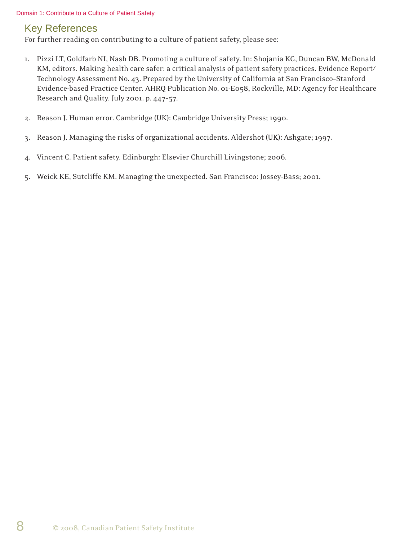#### Domain 1: Contribute to a Culture of Patient Safety

### Key References

For further reading on contributing to a culture of patient safety, please see:

- 1. Pizzi LT, Goldfarb NI, Nash DB. Promoting a culture of safety. In: Shojania KG, Duncan BW, McDonald KM, editors. Making health care safer: a critical analysis of patient safety practices. Evidence Report/ Technology Assessment No. 43. Prepared by the University of California at San Francisco–Stanford Evidence-based Practice Center. AHRQ Publication No. 01-E058, Rockville, MD: Agency for Healthcare Research and Quality. July 2001. p. 447–57.
- 2. Reason J. Human error. Cambridge (UK): Cambridge University Press; 1990.
- 3. Reason J. Managing the risks of organizational accidents. Aldershot (UK): Ashgate; 1997.
- 4. Vincent C. Patient safety. Edinburgh: Elsevier Churchill Livingstone; 2006.
- 5. Weick KE, Sutcliffe KM. Managing the unexpected. San Francisco: Jossey-Bass; 2001.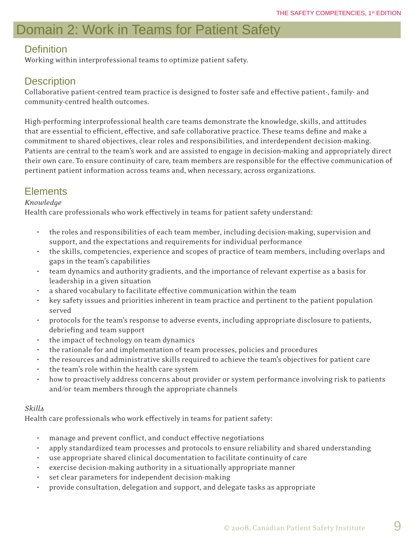# Domain 2: Work in Teams for Patient Safety

### **Definition**

Working within interprofessional teams to optimize patient safety.

### **Description**

Collaborative patient-centred team practice is designed to foster safe and effective patient-, family- and community-centred health outcomes.

High-performing interprofessional health care teams demonstrate the knowledge, skills, and attitudes that are essential to efficient, effective, and safe collaborative practice. These teams define and make a commitment to shared objectives, clear roles and responsibilities, and interdependent decision-making. Patients are central to the team's work and are assisted to engage in decision-making and appropriately direct their own care. To ensure continuity of care, team members are responsible for the effective communication of pertinent patient information across teams and, when necessary, across organizations.

### **Elements**

### *Knowledge*

Health care professionals who work effectively in teams for patient safety understand:

- the roles and responsibilities of each team member, including decision-making, supervision and support, and the expectations and requirements for individual performance
- the skills, competencies, experience and scopes of practice of team members, including overlaps and gaps in the team's capabilities
- team dynamics and authority gradients, and the importance of relevant expertise as a basis for leadership in a given situation
- a shared vocabulary to facilitate effective communication within the team
- key safety issues and priorities inherent in team practice and pertinent to the patient population served
- protocols for the team's response to adverse events, including appropriate disclosure to patients, debriefing and team support
- the impact of technology on team dynamics
- the rationale for and implementation of team processes, policies and procedures
- the resources and administrative skills required to achieve the team's objectives for patient care
- the team's role within the health care system
- how to proactively address concerns about provider or system performance involving risk to patients and/or team members through the appropriate channels

### *Skills*

Health care professionals who work effectively in teams for patient safety:

- manage and prevent conflict, and conduct effective negotiations
- apply standardized team processes and protocols to ensure reliability and shared understanding
- use appropriate shared clinical documentation to facilitate continuity of care
- exercise decision-making authority in a situationally appropriate manner
- set clear parameters for independent decision-making
- provide consultation, delegation and support, and delegate tasks as appropriate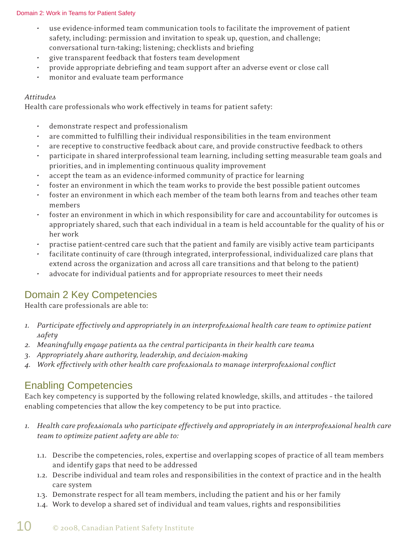#### Domain 2: Work in Teams for Patient Safety

- use evidence-informed team communication tools to facilitate the improvement of patient safety, including: permission and invitation to speak up, question, and challenge; conversational turn-taking; listening; checklists and briefing
- give transparent feedback that fosters team development
- provide appropriate debriefing and team support after an adverse event or close call
- monitor and evaluate team performance

#### *Attitudes*

Health care professionals who work effectively in teams for patient safety:

- demonstrate respect and professionalism
- are committed to fulfilling their individual responsibilities in the team environment
- are receptive to constructive feedback about care, and provide constructive feedback to others
- participate in shared interprofessional team learning, including setting measurable team goals and priorities, and in implementing continuous quality improvement
- accept the team as an evidence-informed community of practice for learning
- foster an environment in which the team works to provide the best possible patient outcomes
- foster an environment in which each member of the team both learns from and teaches other team members
- foster an environment in which in which responsibility for care and accountability for outcomes is appropriately shared, such that each individual in a team is held accountable for the quality of his or her work
- practise patient-centred care such that the patient and family are visibly active team participants
- facilitate continuity of care (through integrated, interprofessional, individualized care plans that extend across the organization and across all care transitions and that belong to the patient)
- advocate for individual patients and for appropriate resources to meet their needs

### Domain 2 Key Competencies

Health care professionals are able to:

- *1. Participate effectively and appropriately in an interprofessional health care team to optimize patient safety*
- *2. Meaningfully engage patients as the central participants in their health care teams*
- *3. Appropriately share authority, leadership, and decision-making*
- *4. Work effectively with other health care professionals to manage interprofessional confl ict*

### Enabling Competencies

Each key competency is supported by the following related knowledge, skills, and attitudes – the tailored enabling competencies that allow the key competency to be put into practice.

- *1. Health care professionals who participate effectively and appropriately in an interprofessional health care team to optimize patient safety are able to:*
	- 1.1. Describe the competencies, roles, expertise and overlapping scopes of practice of all team members and identify gaps that need to be addressed
	- 1.2. Describe individual and team roles and responsibilities in the context of practice and in the health care system
	- 1.3. Demonstrate respect for all team members, including the patient and his or her family
	- 1.4. Work to develop a shared set of individual and team values, rights and responsibilities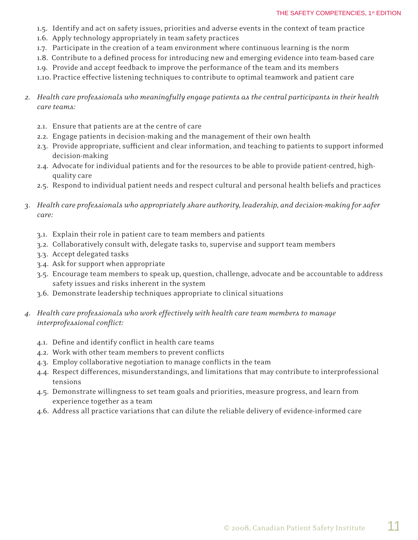- 1.5. Identify and act on safety issues, priorities and adverse events in the context of team practice
- 1.6. Apply technology appropriately in team safety practices
- 1.7. Participate in the creation of a team environment where continuous learning is the norm
- 1.8. Contribute to a defined process for introducing new and emerging evidence into team-based care
- 1.9. Provide and accept feedback to improve the performance of the team and its members
- 1.10. Practice effective listening techniques to contribute to optimal teamwork and patient care
- *2. Health care professionals who meaningfully engage patients as the central participants in their health care teams:*
	- 2.1. Ensure that patients are at the centre of care
	- 2.2. Engage patients in decision-making and the management of their own health
	- 2.3. Provide appropriate, sufficient and clear information, and teaching to patients to support informed decision-making
	- 2.4. Advocate for individual patients and for the resources to be able to provide patient-centred, high quality care
	- 2.5. Respond to individual patient needs and respect cultural and personal health beliefs and practices
- *3. Health care professionals who appropriately share authority, leadership, and decision-making for safer care:*
	- 3.1. Explain their role in patient care to team members and patients
	- 3.2. Collaboratively consult with, delegate tasks to, supervise and support team members
	- 3.3. Accept delegated tasks
	- 3.4. Ask for support when appropriate
	- 3.5. Encourage team members to speak up, question, challenge, advocate and be accountable to address safety issues and risks inherent in the system
	- 3.6. Demonstrate leadership techniques appropriate to clinical situations
- *4. Health care professionals who work effectively with health care team members to manage*   $interproplessional$ *conflict:* 
	- 4.1. Define and identify conflict in health care teams
	- 4.2. Work with other team members to prevent conflicts
	- 4.3. Employ collaborative negotiation to manage conflicts in the team
	- 4.4. Respect differences, misunderstandings, and limitations that may contribute to interprofessional tensions
	- 4.5. Demonstrate willingness to set team goals and priorities, measure progress, and learn from experience together as a team
	- 4.6. Address all practice variations that can dilute the reliable delivery of evidence-informed care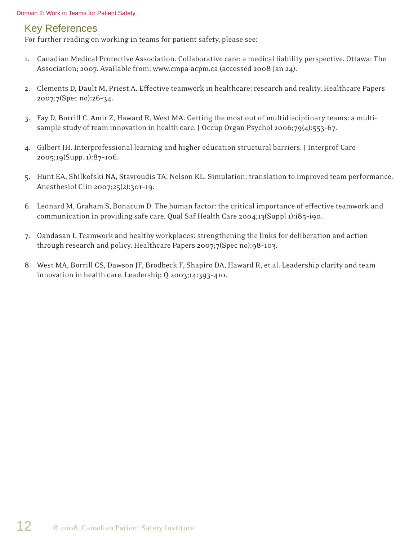### Key References

For further reading on working in teams for patient safety, please see:

- 1. Canadian Medical Protective Association. Collaborative care: a medical liability perspective. Ottawa: The Association; 2007. Available from: www.cmpa-acpm.ca (accessed 2008 Jan 24).
- 2. Clements D, Dault M, Priest A. Effective teamwork in healthcare: research and reality. Healthcare Papers 2007;7(Spec no):26–34.
- 3. Fay D, Borrill C, Amir Z, Haward R, West MA. Getting the most out of multidisciplinary teams: a multisample study of team innovation in health care. J Occup Organ Psychol 2006;79(4):553–67.
- 4. Gilbert JH. Interprofessional learning and higher education structural barriers. J Interprof Care 2005;19(Supp. 1):87–106.
- 5. Hunt EA, Shilkofski NA, Stavroudis TA, Nelson KL. Simulation: translation to improved team performance. Anesthesiol Clin 2007;25(2):301-19.
- 6. Leonard M, Graham S, Bonacum D. The human factor: the critical importance of effective teamwork and communication in providing safe care. Qual Saf Health Care 2004;13(Suppl 1):i85–i90.
- 7. Oandasan I. Teamwork and healthy workplaces: strengthening the links for deliberation and action through research and policy. Healthcare Papers 2007;7(Spec no):98–103.
- 8. West MA, Borrill CS, Dawson JF, Brodbeck F, Shapiro DA, Haward R, et al. Leadership clarity and team innovation in health care. Leadership Q 2003;14:393–410.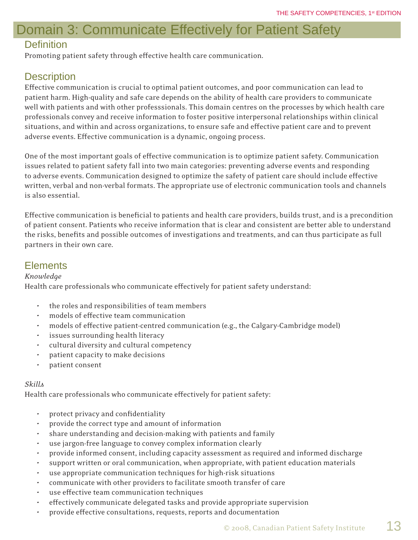# Domain 3: Communicate Effectively for Patient Safety

### **Definition**

Promoting patient safety through effective health care communication.

### **Description**

Eff ective communication is crucial to optimal patient outcomes, and poor communication can lead to patient harm. High-quality and safe care depends on the ability of health care providers to communicate well with patients and with other professsionals. This domain centres on the processes by which health care professionals convey and receive information to foster positive interpersonal relationships within clinical situations, and within and across organizations, to ensure safe and effective patient care and to prevent adverse events. Effective communication is a dynamic, ongoing process.

One of the most important goals of effective communication is to optimize patient safety. Communication issues related to patient safety fall into two main categories: preventing adverse events and responding to adverse events. Communication designed to optimize the safety of patient care should include effective written, verbal and non-verbal formats. The appropriate use of electronic communication tools and channels is also essential.

Effective communication is beneficial to patients and health care providers, builds trust, and is a precondition of patient consent. Patients who receive information that is clear and consistent are better able to understand the risks, benefits and possible outcomes of investigations and treatments, and can thus participate as full partners in their own care.

### **Elements**

### *Knowledge*

Health care professionals who communicate effectively for patient safety understand:

- the roles and responsibilities of team members
- models of effective team communication
- models of effective patient-centred communication (e.g., the Calgary-Cambridge model)
- issues surrounding health literacy
- cultural diversity and cultural competency
- patient capacity to make decisions
- patient consent

### *Skills*

Health care professionals who communicate effectively for patient safety:

- protect privacy and confidentiality
- provide the correct type and amount of information
- share understanding and decision-making with patients and family
- use jargon-free language to convey complex information clearly
- provide informed consent, including capacity assessment as required and informed discharge
- support written or oral communication, when appropriate, with patient education materials
- use appropriate communication techniques for high-risk situations
- communicate with other providers to facilitate smooth transfer of care
- use effective team communication techniques
- effectively communicate delegated tasks and provide appropriate supervision
- provide effective consultations, requests, reports and documentation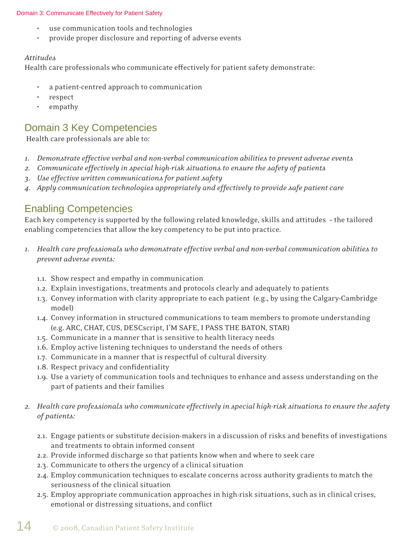#### Domain 3: Communicate Effectively for Patient Safety

- use communication tools and technologies
- provide proper disclosure and reporting of adverse events

#### *Attitudes*

Health care professionals who communicate effectively for patient safety demonstrate:

- a patient-centred approach to communication
- respect
- empathy

### Domain 3 Key Competencies

Health care professionals are able to:

- *1. Demonstrate effective verbal and non-verbal communication abilities to prevent adverse events*
- *2. Communicate effectively in special high-risk situations to ensure the safety of patients*
- *3. Use effective written communications for patient safety*
- *4. Apply communication technologies appropriately and effectively to provide safe patient care*

### Enabling Competencies

Each key competency is supported by the following related knowledge, skills and attitudes – the tailored enabling competencies that allow the key competency to be put into practice.

- *1. Health care professionals who demonstrate effective verbal and non-verbal communication abilities to prevent adverse events:* 
	- 1.1. Show respect and empathy in communication
	- 1.2. Explain investigations, treatments and protocols clearly and adequately to patients
	- 1.3. Convey information with clarity appropriate to each patient (e.g., by using the Calgary-Cambridge model)
	- 1.4. Convey information in structured communications to team members to promote understanding (e.g. ARC, CHAT, CUS, DESCscript, I'M SAFE, I PASS THE BATON, STAR)
	- 1.5. Communicate in a manner that is sensitive to health literacy needs
	- 1.6. Employ active listening techniques to understand the needs of others
	- 1.7. Communicate in a manner that is respectful of cultural diversity
	- 1.8. Respect privacy and confidentiality
	- 1.9. Use a variety of communication tools and techniques to enhance and assess understanding on the part of patients and their families

### *2. Health care professionals who communicate effectively in special high-risk situations to ensure the safety of patients:*

- 2.1. Engage patients or substitute decision-makers in a discussion of risks and benefits of investigations and treatments to obtain informed consent
- 2.2. Provide informed discharge so that patients know when and where to seek care
- 2.3. Communicate to others the urgency of a clinical situation
- 2.4. Employ communication techniques to escalate concerns across authority gradients to match the seriousness of the clinical situation
- 2.5. Employ appropriate communication approaches in high-risk situations, such as in clinical crises, emotional or distressing situations, and conflict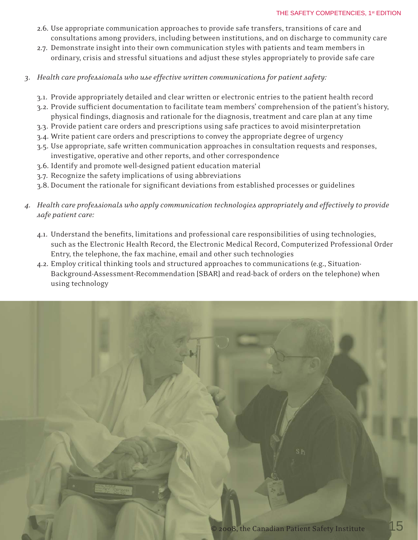#### THE SAFETY COMPETENCIES, 1<sup>st</sup> EDITION

- 2.6. Use appropriate communication approaches to provide safe transfers, transitions of care and consultations among providers, including between institutions, and on discharge to community care
- 2.7. Demonstrate insight into their own communication styles with patients and team members in ordinary, crisis and stressful situations and adjust these styles appropriately to provide safe care
- *3. Health care professionals who use effective written communications for patient safety:*
	- 3.1. Provide appropriately detailed and clear written or electronic entries to the patient health record
	- 3.2. Provide sufficient documentation to facilitate team members' comprehension of the patient's history, physical findings, diagnosis and rationale for the diagnosis, treatment and care plan at any time
	- 3.3. Provide patient care orders and prescriptions using safe practices to avoid misinterpretation
	- 3.4. Write patient care orders and prescriptions to convey the appropriate degree of urgency
	- 3.5. Use appropriate, safe written communication approaches in consultation requests and responses, investigative, operative and other reports, and other correspondence
	- 3.6. Identify and promote well-designed patient education material
	- 3.7. Recognize the safety implications of using abbreviations
	- 3.8. Document the rationale for significant deviations from established processes or guidelines
- *4. Health care professionals who apply communication technologies appropriately and effectively to provide safe patient care:* 
	- 4.1. Understand the benefits, limitations and professional care responsibilities of using technologies, such as the Electronic Health Record, the Electronic Medical Record, Computerized Professional Order Entry, the telephone, the fax machine, email and other such technologies
	- 4.2. Employ critical thinking tools and structured approaches to communications (e.g., Situation- Background-Assessment-Recommendation [SBAR] and read-back of orders on the telephone) when using technology

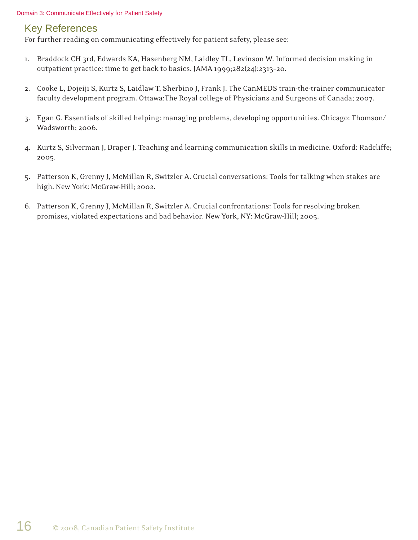#### Domain 3: Communicate Effectively for Patient Safety

### Key References

For further reading on communicating effectively for patient safety, please see:

- 1. Braddock CH 3rd, Edwards KA, Hasenberg NM, Laidley TL, Levinson W. Informed decision making in outpatient practice: time to get back to basics. JAMA 1999;282(24):2313–20.
- 2. Cooke L, Dojeiji S, Kurtz S, Laidlaw T, Sherbino J, Frank J. The CanMEDS train-the-trainer communicator faculty development program. Ottawa:The Royal college of Physicians and Surgeons of Canada; 2007.
- 3. Egan G. Essentials of skilled helping: managing problems, developing opportunities. Chicago: Thomson/ Wadsworth; 2006.
- 4. Kurtz S, Silverman J, Draper J. Teaching and learning communication skills in medicine. Oxford: Radcliffe; 2005.
- 5. Patterson K, Grenny J, McMillan R, Switzler A. Crucial conversations: Tools for talking when stakes are high. New York: McGraw-Hill; 2002.
- 6. Patterson K, Grenny J, McMillan R, Switzler A. Crucial confrontations: Tools for resolving broken promises, violated expectations and bad behavior. New York, NY: McGraw-Hill; 2005.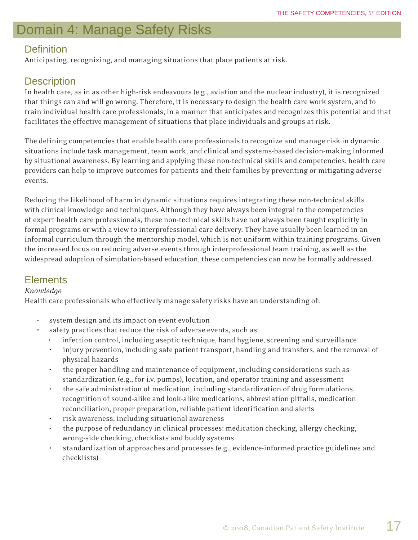# Domain 4: Manage Safety Risks

### Definition

Anticipating, recognizing, and managing situations that place patients at risk.

### **Description**

In health care, as in as other high-risk endeavours (e.g., aviation and the nuclear industry), it is recognized that things can and will go wrong. Therefore, it is necessary to design the health care work system, and to train individual health care professionals, in a manner that anticipates and recognizes this potential and that facilitates the effective management of situations that place individuals and groups at risk.

The defining competencies that enable health care professionals to recognize and manage risk in dynamic situations include task management, team work, and clinical and systems-based decision-making informed by situational awareness. By learning and applying these non-technical skills and competencies, health care providers can help to improve outcomes for patients and their families by preventing or mitigating adverse events.

Reducing the likelihood of harm in dynamic situations requires integrating these non-technical skills with clinical knowledge and techniques. Although they have always been integral to the competencies of expert health care professionals, these non-technical skills have not always been taught explicitly in formal programs or with a view to interprofessional care delivery. They have usually been learned in an informal curriculum through the mentorship model, which is not uniform within training programs. Given the increased focus on reducing adverse events through interprofessional team training, as well as the widespread adoption of simulation-based education, these competencies can now be formally addressed.

### **Elements**

### *Knowledge*

Health care professionals who effectively manage safety risks have an understanding of:

- system design and its impact on event evolution
- safety practices that reduce the risk of adverse events, such as:
	- infection control, including aseptic technique, hand hygiene, screening and surveillance
	- injury prevention, including safe patient transport, handling and transfers, and the removal of physical hazards
	- the proper handling and maintenance of equipment, including considerations such as standardization (e.g., for i.v. pumps), location, and operator training and assessment
	- the safe administration of medication, including standardization of drug formulations, recognition of sound-alike and look-alike medications, abbreviation pitfalls, medication reconciliation, proper preparation, reliable patient identification and alerts
	- risk awareness, including situational awareness
	- the purpose of redundancy in clinical processes: medication checking, allergy checking, wrong-side checking, checklists and buddy systems
	- standardization of approaches and processes (e.g., evidence-informed practice guidelines and checklists)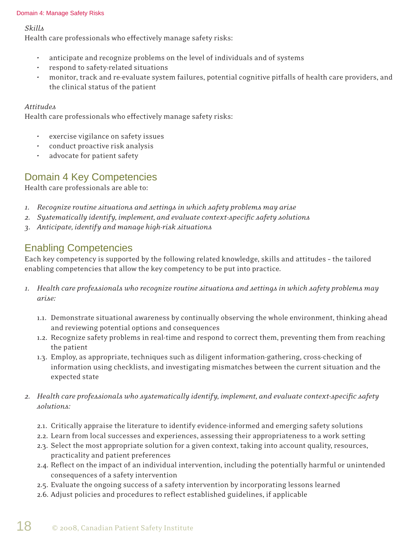#### Domain 4: Manage Safety Risks

*Skills*

Health care professionals who effectively manage safety risks:

- anticipate and recognize problems on the level of individuals and of systems
- respond to safety-related situations
- monitor, track and re-evaluate system failures, potential cognitive pitfalls of health care providers, and the clinical status of the patient

### *Attitudes*

Health care professionals who effectively manage safety risks:

- exercise vigilance on safety issues
- conduct proactive risk analysis
- advocate for patient safety

### Domain 4 Key Competencies

Health care professionals are able to:

- *1. Recognize routine situations and settings in which safety problems may arise*
- 2. Systematically identify, implement, and evaluate context-specific safety solutions
- *3. Anticipate, identify and manage high-risk situations*

### Enabling Competencies

Each key competency is supported by the following related knowledge, skills and attitudes – the tailored enabling competencies that allow the key competency to be put into practice.

- *1. Health care professionals who recognize routine situations and settings in which safety problems may arise:*
	- 1.1. Demonstrate situational awareness by continually observing the whole environment, thinking ahead and reviewing potential options and consequences
	- 1.2. Recognize safety problems in real-time and respond to correct them, preventing them from reaching the patient
	- 1.3. Employ, as appropriate, techniques such as diligent information-gathering, cross-checking of information using checklists, and investigating mismatches between the current situation and the expected state
- *2. Health care professionals who systematically identify, implement, and evaluate context-specifi c safety solutions:*
	- 2.1. Critically appraise the literature to identify evidence-informed and emerging safety solutions
	- 2.2. Learn from local successes and experiences, assessing their appropriateness to a work setting
	- 2.3. Select the most appropriate solution for a given context, taking into account quality, resources, practicality and patient preferences
	- 2.4. Reflect on the impact of an individual intervention, including the potentially harmful or unintended consequences of a safety intervention
	- 2.5. Evaluate the ongoing success of a safety intervention by incorporating lessons learned
	- 2.6. Adjust policies and procedures to reflect established guidelines, if applicable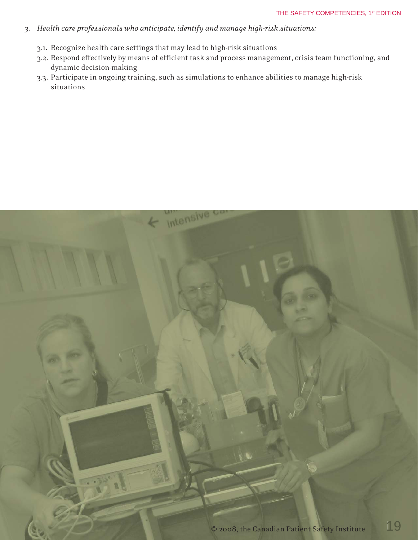- *3. Health care professionals who anticipate, identify and manage high-risk situations:*
	- 3.1. Recognize health care settings that may lead to high-risk situations
	- 3.2. Respond effectively by means of efficient task and process management, crisis team functioning, and dynamic decision-making
	- 3.3. Participate in ongoing training, such as simulations to enhance abilities to manage high-risk situations

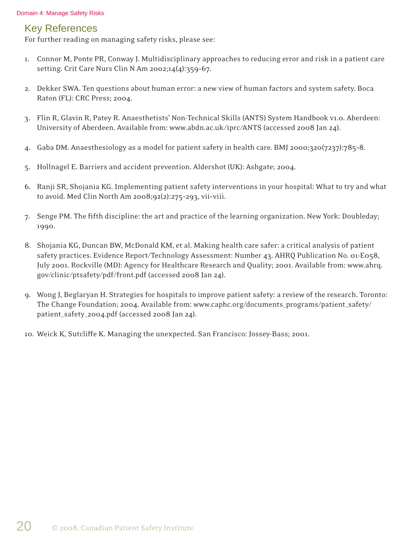### Key References

For further reading on managing safety risks, please see:

- 1. Connor M, Ponte PR, Conway J. Multidisciplinary approaches to reducing error and risk in a patient care setting. Crit Care Nurs Clin N Am 2002;14(4):359–67.
- 2. Dekker SWA. Ten questions about human error: a new view of human factors and system safety. Boca Raton (FL): CRC Press; 2004.
- 3. Flin R, Glavin R, Patey R. Anaesthetists' Non-Technical Skills (ANTS) System Handbook v1.0. Aberdeen: University of Aberdeen. Available from: www.abdn.ac.uk/iprc/ANTS (accessed 2008 Jan 24).
- 4. Gaba DM. Anaesthesiology as a model for patient safety in health care. BMJ 2000;320(7237):785–8.
- 5. Hollnagel E. Barriers and accident prevention. Aldershot (UK): Ashgate; 2004.
- 6. Ranji SR, Shojania KG. Implementing patient safety interventions in your hospital: What to try and what to avoid. Med Clin North Am 2008;92(2):275–293, vii–viii.
- 7. Senge PM. The fifth discipline: the art and practice of the learning organization. New York: Doubleday; 1990.
- 8. Shojania KG, Duncan BW, McDonald KM, et al. Making health care safer: a critical analysis of patient safety practices. Evidence Report/Technology Assessment: Number 43. AHRQ Publication No. 01-E058, July 2001. Rockville (MD): Agency for Healthcare Research and Quality; 2001. Available from: www.ahrq. gov/clinic/ptsafety/pdf/front.pdf (accessed 2008 Jan 24).
- 9. Wong J, Beglaryan H. Strategies for hospitals to improve patient safety: a review of the research. Toronto: The Change Foundation; 2004. Available from: www.caphc.org/documents\_programs/patient\_safety/ patient\_safety\_2004.pdf (accessed 2008 Jan 24).
- 10. Weick K, Sutcliffe K. Managing the unexpected. San Francisco: Jossey-Bass; 2001.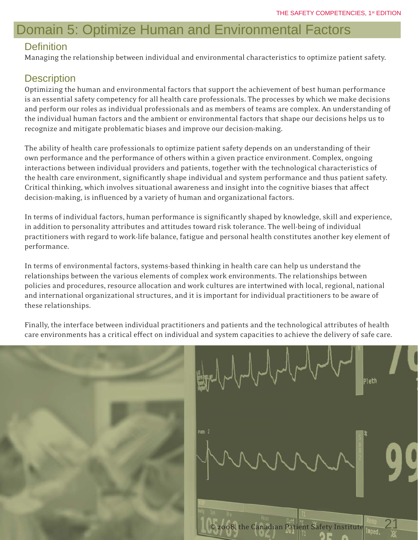# Domain 5: Optimize Human and Environmental Factors

### **Definition**

Managing the relationship between individual and environmental characteristics to optimize patient safety.

### **Description**

Optimizing the human and environmental factors that support the achievement of best human performance is an essential safety competency for all health care professionals. The processes by which we make decisions and perform our roles as individual professionals and as members of teams are complex. An understanding of the individual human factors and the ambient or environmental factors that shape our decisions helps us to recognize and mitigate problematic biases and improve our decision-making.

The ability of health care professionals to optimize patient safety depends on an understanding of their own performance and the performance of others within a given practice environment. Complex, ongoing interactions between individual providers and patients, together with the technological characteristics of the health care environment, significantly shape individual and system performance and thus patient safety. Critical thinking, which involves situational awareness and insight into the cognitive biases that affect decision-making, is influenced by a variety of human and organizational factors.

In terms of individual factors, human performance is significantly shaped by knowledge, skill and experience, in addition to personality attributes and attitudes toward risk tolerance. The well-being of individual practitioners with regard to work-life balance, fatigue and personal health constitutes another key element of performance.

In terms of environmental factors, systems-based thinking in health care can help us understand the relationships between the various elements of complex work environments. The relationships between policies and procedures, resource allocation and work cultures are intertwined with local, regional, national and international organizational structures, and it is important for individual practitioners to be aware of these relationships.

Finally, the interface between individual practitioners and patients and the technological attributes of health care environments has a critical effect on individual and system capacities to achieve the delivery of safe care.



Pleth © 2008, the Canadian Patient Safety Institute 21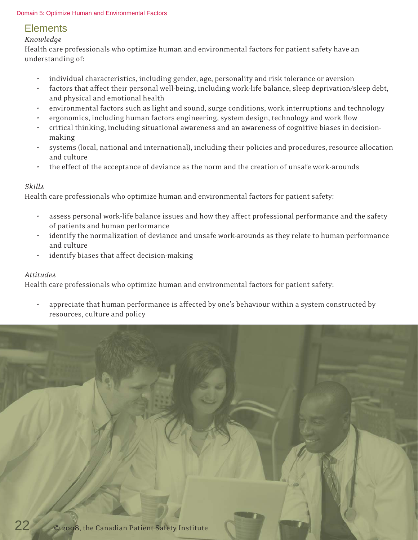#### Domain 5: Optimize Human and Environmental Factors

### **Elements**

### *Knowledge*

Health care professionals who optimize human and environmental factors for patient safety have an understanding of:

- individual characteristics, including gender, age, personality and risk tolerance or aversion
- factors that affect their personal well-being, including work-life balance, sleep deprivation/sleep debt, and physical and emotional health
- environmental factors such as light and sound, surge conditions, work interruptions and technology
- ergonomics, including human factors engineering, system design, technology and work flow
- critical thinking, including situational awareness and an awareness of cognitive biases in decision making
- systems (local, national and international), including their policies and procedures, resource allocation and culture
- the effect of the acceptance of deviance as the norm and the creation of unsafe work-arounds

### *Skills*

Health care professionals who optimize human and environmental factors for patient safety:

- assess personal work-life balance issues and how they affect professional performance and the safety of patients and human performance
- identify the normalization of deviance and unsafe work-arounds as they relate to human performance and culture
- identify biases that affect decision-making

### *Attitudes*

Health care professionals who optimize human and environmental factors for patient safety:

appreciate that human performance is affected by one's behaviour within a system constructed by resources, culture and policy

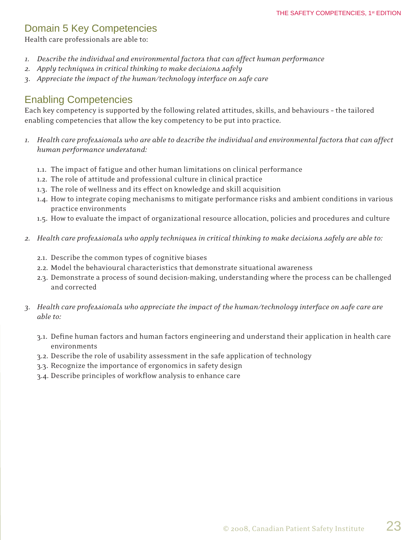### Domain 5 Key Competencies

Health care professionals are able to:

- *1. Describe the individual and environmental factors that can affect human performance*
- *2. Apply techniques in critical thinking to make decisions safely*
- *3. Appreciate the impact of the human/technology interface on safe care*

### Enabling Competencies

Each key competency is supported by the following related attitudes, skills, and behaviours – the tailored enabling competencies that allow the key competency to be put into practice.

- *1. Health care professionals who are able to describe the individual and environmental factors that can affect human performance understand:*
	- 1.1. The impact of fatigue and other human limitations on clinical performance
	- 1.2. The role of attitude and professional culture in clinical practice
	- 1.3. The role of wellness and its effect on knowledge and skill acquisition
	- 1.4. How to integrate coping mechanisms to mitigate performance risks and ambient conditions in various practice environments
	- 1.5. How to evaluate the impact of organizational resource allocation, policies and procedures and culture
- *2. Health care professionals who apply techniques in critical thinking to make decisions safely are able to:*
	- 2.1. Describe the common types of cognitive biases
	- 2.2. Model the behavioural characteristics that demonstrate situational awareness
	- 2.3. Demonstrate a process of sound decision-making, understanding where the process can be challenged and corrected
- *3. Health care professionals who appreciate the impact of the human/technology interface on safe care are able to:*
	- 3.1. Define human factors and human factors engineering and understand their application in health care environments
	- 3.2. Describe the role of usability assessment in the safe application of technology
	- 3.3. Recognize the importance of ergonomics in safety design
	- 3.4. Describe principles of workflow analysis to enhance care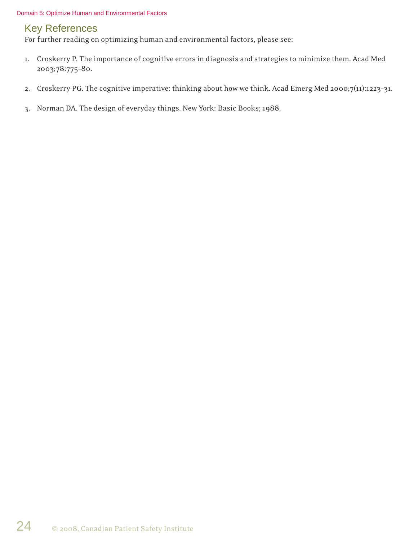#### Domain 5: Optimize Human and Environmental Factors

### Key References

For further reading on optimizing human and environmental factors, please see:

- 1. Croskerry P. The importance of cognitive errors in diagnosis and strategies to minimize them. Acad Med 2003;78:775–80.
- 2. Croskerry PG. The cognitive imperative: thinking about how we think. Acad Emerg Med 2000;7(11):1223–31.
- 3. Norman DA. The design of everyday things. New York: Basic Books; 1988.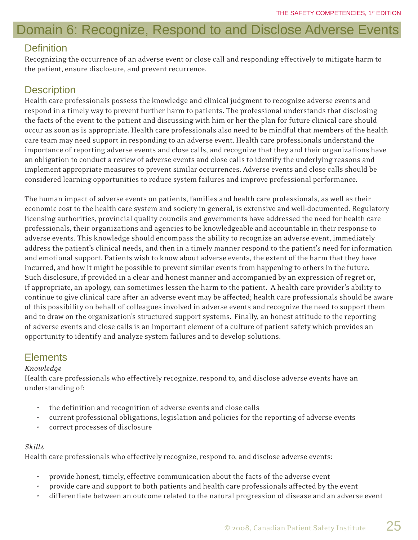# Domain 6: Recognize, Respond to and Disclose Adverse Events

### **Definition**

Recognizing the occurrence of an adverse event or close call and responding effectively to mitigate harm to the patient, ensure disclosure, and prevent recurrence.

### **Description**

Health care professionals possess the knowledge and clinical judgment to recognize adverse events and respond in a timely way to prevent further harm to patients. The professional understands that disclosing the facts of the event to the patient and discussing with him or her the plan for future clinical care should occur as soon as is appropriate. Health care professionals also need to be mindful that members of the health care team may need support in responding to an adverse event. Health care professionals understand the importance of reporting adverse events and close calls, and recognize that they and their organizations have an obligation to conduct a review of adverse events and close calls to identify the underlying reasons and implement appropriate measures to prevent similar occurrences. Adverse events and close calls should be considered learning opportunities to reduce system failures and improve professional performance.

The human impact of adverse events on patients, families and health care professionals, as well as their economic cost to the health care system and society in general, is extensive and well-documented. Regulatory licensing authorities, provincial quality councils and governments have addressed the need for health care professionals, their organizations and agencies to be knowledgeable and accountable in their response to adverse events. This knowledge should encompass the ability to recognize an adverse event, immediately address the patient's clinical needs, and then in a timely manner respond to the patient's need for information and emotional support. Patients wish to know about adverse events, the extent of the harm that they have incurred, and how it might be possible to prevent similar events from happening to others in the future. Such disclosure, if provided in a clear and honest manner and accompanied by an expression of regret or, if appropriate, an apology, can sometimes lessen the harm to the patient. A health care provider's ability to continue to give clinical care after an adverse event may be affected; health care professionals should be aware of this possibility on behalf of colleagues involved in adverse events and recognize the need to support them and to draw on the organization's structured support systems. Finally, an honest attitude to the reporting of adverse events and close calls is an important element of a culture of patient safety which provides an opportunity to identify and analyze system failures and to develop solutions.

### **Elements**

### *Knowledge*

Health care professionals who effectively recognize, respond to, and disclose adverse events have an understanding of:

- the definition and recognition of adverse events and close calls
- current professional obligations, legislation and policies for the reporting of adverse events
- correct processes of disclosure

### *Skills*

Health care professionals who effectively recognize, respond to, and disclose adverse events:

- provide honest, timely, effective communication about the facts of the adverse event
- provide care and support to both patients and health care professionals affected by the event
- differentiate between an outcome related to the natural progression of disease and an adverse event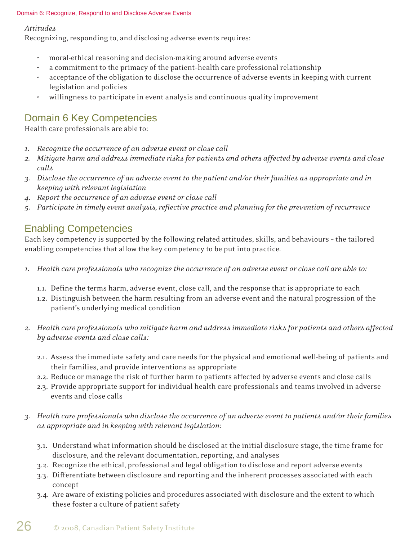#### Domain 6: Recognize, Respond to and Disclose Adverse Events

#### *Attitudes*

Recognizing, responding to, and disclosing adverse events requires:

- moral-ethical reasoning and decision-making around adverse events
- a commitment to the primacy of the patient–health care professional relationship
- acceptance of the obligation to disclose the occurrence of adverse events in keeping with current legislation and policies
- willingness to participate in event analysis and continuous quality improvement

### Domain 6 Key Competencies

Health care professionals are able to:

- *1. Recognize the occurrence of an adverse event or close call*
- *2. Mitigate harm and address immediate risks for patients and others affected by adverse events and close calls*
- *3. Disclose the occurrence of an adverse event to the patient and/or their families as appropriate and in keeping with relevant legislation*
- *4. Report the occurrence of an adverse event or close call*
- *5. Participate in timely event analysis, refl ective practice and planning for the prevention of recurrence*

### Enabling Competencies

Each key competency is supported by the following related attitudes, skills, and behaviours – the tailored enabling competencies that allow the key competency to be put into practice.

- *1. Health care professionals who recognize the occurrence of an adverse event or close call are able to:*
	- 1.1. Define the terms harm, adverse event, close call, and the response that is appropriate to each
	- 1.2. Distinguish between the harm resulting from an adverse event and the natural progression of the patient's underlying medical condition
- *2. Health care professionals who mitigate harm and address immediate risks for patients and others affected by adverse events and close calls:*
	- 2.1. Assess the immediate safety and care needs for the physical and emotional well-being of patients and their families, and provide interventions as appropriate
	- 2.2. Reduce or manage the risk of further harm to patients affected by adverse events and close calls
	- 2.3. Provide appropriate support for individual health care professionals and teams involved in adverse events and close calls
- *3. Health care professionals who disclose the occurrence of an adverse event to patients and/or their families as appropriate and in keeping with relevant legislation:*
	- 3.1. Understand what information should be disclosed at the initial disclosure stage, the time frame for disclosure, and the relevant documentation, reporting, and analyses
	- 3.2. Recognize the ethical, professional and legal obligation to disclose and report adverse events
	- 3.3. Differentiate between disclosure and reporting and the inherent processes associated with each concept
	- 3.4. Are aware of existing policies and procedures associated with disclosure and the extent to which these foster a culture of patient safety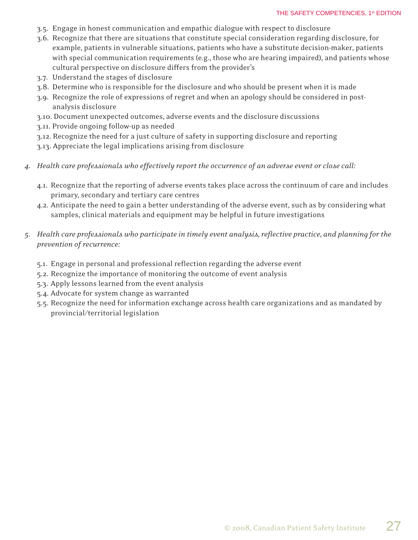- 3.5. Engage in honest communication and empathic dialogue with respect to disclosure
- 3.6. Recognize that there are situations that constitute special consideration regarding disclosure, for example, patients in vulnerable situations, patients who have a substitute decision-maker, patients with special communication requirements (e.g., those who are hearing impaired), and patients whose cultural perspective on disclosure differs from the provider's
- 3.7. Understand the stages of disclosure
- 3.8. Determine who is responsible for the disclosure and who should be present when it is made
- 3.9. Recognize the role of expressions of regret and when an apology should be considered in post analysis disclosure
- 3.10. Document unexpected outcomes, adverse events and the disclosure discussions
- 3.11. Provide ongoing follow-up as needed
- 3.12. Recognize the need for a just culture of safety in supporting disclosure and reporting
- 3.13. Appreciate the legal implications arising from disclosure
- *4. Health care professionals who effectively report the occurrence of an adverse event or close call:*
	- 4.1. Recognize that the reporting of adverse events takes place across the continuum of care and includes primary, secondary and tertiary care centres
	- 4.2. Anticipate the need to gain a better understanding of the adverse event, such as by considering what samples, clinical materials and equipment may be helpful in future investigations
- *5. Health care professionals who participate in timely event analysis, refl ective practice, and planning for the prevention of recurrence:*
	- 5.1. Engage in personal and professional reflection regarding the adverse event
	- 5.2. Recognize the importance of monitoring the outcome of event analysis
	- 5.3. Apply lessons learned from the event analysis
	- 5.4. Advocate for system change as warranted
	- 5.5. Recognize the need for information exchange across health care organizations and as mandated by provincial/territorial legislation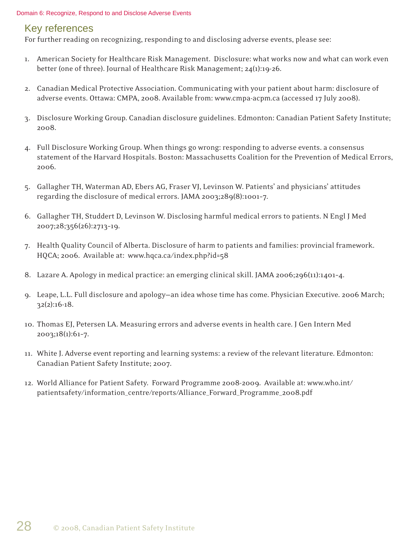#### Domain 6: Recognize, Respond to and Disclose Adverse Events

### Key references

For further reading on recognizing, responding to and disclosing adverse events, please see:

- 1. American Society for Healthcare Risk Management. Disclosure: what works now and what can work even better (one of three). Journal of Healthcare Risk Management; 24(1):19-26.
- 2. Canadian Medical Protective Association. Communicating with your patient about harm: disclosure of adverse events. Ottawa: CMPA, 2008. Available from: www.cmpa-acpm.ca (accessed 17 July 2008).
- 3. Disclosure Working Group. Canadian disclosure guidelines. Edmonton: Canadian Patient Safety Institute; 2008.
- 4. Full Disclosure Working Group. When things go wrong: responding to adverse events. a consensus statement of the Harvard Hospitals. Boston: Massachusetts Coalition for the Prevention of Medical Errors, 2006.
- 5. Gallagher TH, Waterman AD, Ebers AG, Fraser VJ, Levinson W. Patients' and physicians' attitudes regarding the disclosure of medical errors. JAMA 2003;289(8):1001–7.
- 6. Gallagher TH, Studdert D, Levinson W. Disclosing harmful medical errors to patients. N Engl J Med 2007;28;356(26):2713–19.
- 7. Health Quality Council of Alberta. Disclosure of harm to patients and families: provincial framework. HQCA; 2006. Available at: www.hqca.ca/index.php?id=58
- 8. Lazare A. Apology in medical practice: an emerging clinical skill. JAMA 2006;296(11):1401–4.
- 9. Leape, L.L. Full disclosure and apology—an idea whose time has come. Physician Executive. 2006 March; 32(2):16-18.
- 10. Thomas EJ, Petersen LA. Measuring errors and adverse events in health care. J Gen Intern Med 2003;18(1):61–7.
- 11. White J. Adverse event reporting and learning systems: a review of the relevant literature. Edmonton: Canadian Patient Safety Institute; 2007.
- 12. World Alliance for Patient Safety. Forward Programme 2008-2009. Available at: www.who.int/ patientsafety/information\_centre/reports/Alliance\_Forward\_Programme\_2008.pdf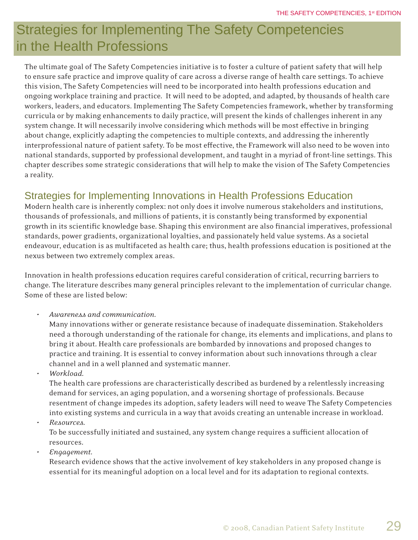# Strategies for Implementing The Safety Competencies in the Health Professions

The ultimate goal of The Safety Competencies initiative is to foster a culture of patient safety that will help to ensure safe practice and improve quality of care across a diverse range of health care settings. To achieve this vision, The Safety Competencies will need to be incorporated into health professions education and ongoing workplace training and practice. It will need to be adopted, and adapted, by thousands of health care workers, leaders, and educators. Implementing The Safety Competencies framework, whether by transforming curricula or by making enhancements to daily practice, will present the kinds of challenges inherent in any system change. It will necessarily involve considering which methods will be most effective in bringing about change, explicitly adapting the competencies to multiple contexts, and addressing the inherently interprofessional nature of patient safety. To be most effective, the Framework will also need to be woven into national standards, supported by professional development, and taught in a myriad of front-line settings. This chapter describes some strategic considerations that will help to make the vision of The Safety Competencies a reality.

### Strategies for Implementing Innovations in Health Professions Education

Modern health care is inherently complex: not only does it involve numerous stakeholders and institutions, thousands of professionals, and millions of patients, it is constantly being transformed by exponential growth in its scientific knowledge base. Shaping this environment are also financial imperatives, professional standards, power gradients, organizational loyalties, and passionately held value systems. As a societal endeavour, education is as multifaceted as health care; thus, health professions education is positioned at the nexus between two extremely complex areas.

Innovation in health professions education requires careful consideration of critical, recurring barriers to change. The literature describes many general principles relevant to the implementation of curricular change. Some of these are listed below:

• *Awareness and communication*.

 Many innovations wither or generate resistance because of inadequate dissemination. Stakeholders need a thorough understanding of the rationale for change, its elements and implications, and plans to bring it about. Health care professionals are bombarded by innovations and proposed changes to practice and training. It is essential to convey information about such innovations through a clear channel and in a well planned and systematic manner.

• *Workload.*

 The health care professions are characteristically described as burdened by a relentlessly increasing demand for services, an aging population, and a worsening shortage of professionals. Because resentment of change impedes its adoption, safety leaders will need to weave The Safety Competencies into existing systems and curricula in a way that avoids creating an untenable increase in workload.

- *Resources.*  To be successfully initiated and sustained, any system change requires a sufficient allocation of resources.
- *Engagement.*

 Research evidence shows that the active involvement of key stakeholders in any proposed change is essential for its meaningful adoption on a local level and for its adaptation to regional contexts.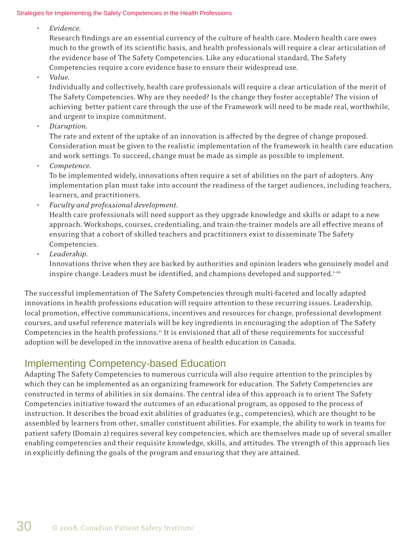#### Strategies for Implementing the Safety Competencies in the Health Professions

• *Evidence.*

Research findings are an essential currency of the culture of health care. Modern health care owes much to the growth of its scientific basis, and health professionals will require a clear articulation of the evidence base of The Safety Competencies. Like any educational standard, The Safety Competencies require a core evidence base to ensure their widespread use.

• *Value.*

 Individually and collectively, health care professionals will require a clear articulation of the merit of The Safety Competencies. Why are they needed? Is the change they foster acceptable? The vision of achieving better patient care through the use of the Framework will need to be made real, worthwhile, and urgent to inspire commitment.

• *Disruption.* 

The rate and extent of the uptake of an innovation is affected by the degree of change proposed. Consideration must be given to the realistic implementation of the framework in health care education and work settings. To succeed, change must be made as simple as possible to implement.

• *Competence.*

 To be implemented widely, innovations often require a set of abilities on the part of adopters. Any implementation plan must take into account the readiness of the target audiences, including teachers, learners, and practitioners.

- *Faculty and professional development.* Health care professionals will need support as they upgrade knowledge and skills or adapt to a new approach. Workshops, courses, credentialing, and train-the-trainer models are all effective means of ensuring that a cohort of skilled teachers and practitioners exist to disseminate The Safety Competencies.
- *Leadership.*

 Innovations thrive when they are backed by authorities and opinion leaders who genuinely model and inspire change. Leaders must be identified, and champions developed and supported.<sup>1-10</sup>

The successful implementation of The Safety Competencies through multi-faceted and locally adapted innovations in health professions education will require attention to these recurring issues. Leadership, local promotion, effective communications, incentives and resources for change, professional development courses, and useful reference materials will be key ingredients in encouraging the adoption of The Safety Competencies in the health professions.<sup>11</sup> It is envisioned that all of these requirements for successful adoption will be developed in the innovative arena of health education in Canada.

### Implementing Competency-based Education

Adapting The Safety Competencies to numerous curricula will also require attention to the principles by which they can be implemented as an organizing framework for education. The Safety Competencies are constructed in terms of abilities in six domains. The central idea of this approach is to orient The Safety Competencies initiative toward the outcomes of an educational program, as opposed to the process of instruction. It describes the broad exit abilities of graduates (e.g., competencies), which are thought to be assembled by learners from other, smaller constituent abilities. For example, the ability to work in teams for patient safety (Domain 2) requires several key competencies, which are themselves made up of several smaller enabling competencies and their requisite knowledge, skills, and attitudes. The strength of this approach lies in explicitly defining the goals of the program and ensuring that they are attained.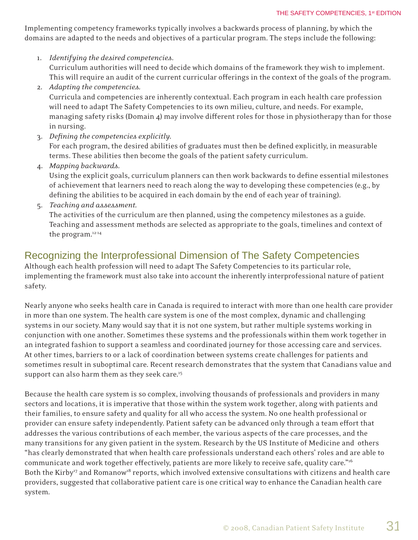Implementing competency frameworks typically involves a backwards process of planning, by which the domains are adapted to the needs and objectives of a particular program. The steps include the following:

- 1. *Identifying the desired competencies*. Curriculum authorities will need to decide which domains of the framework they wish to implement. This will require an audit of the current curricular offerings in the context of the goals of the program.
- 2. *Adapting the competencies.* Curricula and competencies are inherently contextual. Each program in each health care profession will need to adapt The Safety Competencies to its own milieu, culture, and needs. For example, managing safety risks (Domain  $\phi$ ) may involve different roles for those in physiotherapy than for those in nursing.
- 3. *Defi ning the competencies explicitly.* For each program, the desired abilities of graduates must then be defined explicitly, in measurable terms. These abilities then become the goals of the patient safety curriculum.
- 4. *Mapping backwards*.

Using the explicit goals, curriculum planners can then work backwards to define essential milestones of achievement that learners need to reach along the way to developing these competencies (e.g., by defining the abilities to be acquired in each domain by the end of each year of training).

5. *Teaching and assessment.* 

The activities of the curriculum are then planned, using the competency milestones as a guide. Teaching and assessment methods are selected as appropriate to the goals, timelines and context of the program.12-14

### Recognizing the Interprofessional Dimension of The Safety Competencies

Although each health profession will need to adapt The Safety Competencies to its particular role, implementing the framework must also take into account the inherently interprofessional nature of patient safety.

Nearly anyone who seeks health care in Canada is required to interact with more than one health care provider in more than one system. The health care system is one of the most complex, dynamic and challenging systems in our society. Many would say that it is not one system, but rather multiple systems working in conjunction with one another. Sometimes these systems and the professionals within them work together in an integrated fashion to support a seamless and coordinated journey for those accessing care and services. At other times, barriers to or a lack of coordination between systems create challenges for patients and sometimes result in suboptimal care. Recent research demonstrates that the system that Canadians value and support can also harm them as they seek care.<sup>15</sup>

Because the health care system is so complex, involving thousands of professionals and providers in many sectors and locations, it is imperative that those within the system work together, along with patients and their families, to ensure safety and quality for all who access the system. No one health professional or provider can ensure safety independently. Patient safety can be advanced only through a team effort that addresses the various contributions of each member, the various aspects of the care processes, and the many transitions for any given patient in the system. Research by the US Institute of Medicine and others "has clearly demonstrated that when health care professionals understand each others' roles and are able to communicate and work together effectively, patients are more likely to receive safe, quality care."<sup>16</sup> Both the Kirby<sup>17</sup> and Romanow<sup>18</sup> reports, which involved extensive consultations with citizens and health care providers, suggested that collaborative patient care is one critical way to enhance the Canadian health care system.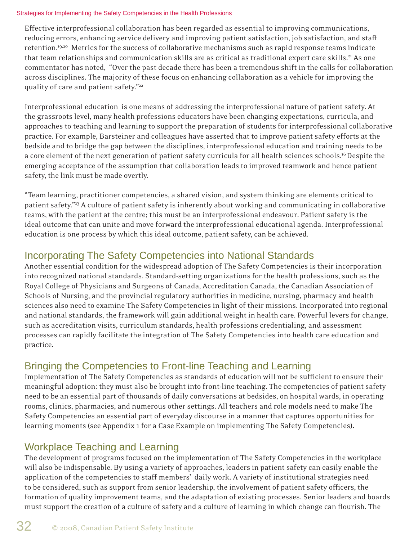#### Strategies for Implementing the Safety Competencies in the Health Professions

Effective interprofessional collaboration has been regarded as essential to improving communications, reducing errors, enhancing service delivery and improving patient satisfaction, job satisfaction, and staff retention.19,20 Metrics for the success of collaborative mechanisms such as rapid response teams indicate that team relationships and communication skills are as critical as traditional expert care skills.21 As one commentator has noted, "Over the past decade there has been a tremendous shift in the calls for collaboration across disciplines. The majority of these focus on enhancing collaboration as a vehicle for improving the quality of care and patient safety."<sup>22</sup>

Interprofessional education is one means of addressing the interprofessional nature of patient safety. At the grassroots level, many health professions educators have been changing expectations, curricula, and approaches to teaching and learning to support the preparation of students for interprofessional collaborative practice. For example, Barsteiner and colleagues have asserted that to improve patient safety efforts at the bedside and to bridge the gap between the disciplines, interprofessional education and training needs to be a core element of the next generation of patient safety curricula for all health sciences schools.<sup>16</sup> Despite the emerging acceptance of the assumption that collaboration leads to improved teamwork and hence patient safety, the link must be made overtly.

"Team learning, practitioner competencies, a shared vision, and system thinking are elements critical to patient safety."23 A culture of patient safety is inherently about working and communicating in collaborative teams, with the patient at the centre; this must be an interprofessional endeavour. Patient safety is the ideal outcome that can unite and move forward the interprofessional educational agenda. Interprofessional education is one process by which this ideal outcome, patient safety, can be achieved.

### Incorporating The Safety Competencies into National Standards

Another essential condition for the widespread adoption of The Safety Competencies is their incorporation into recognized national standards. Standard-setting organizations for the health professions, such as the Royal College of Physicians and Surgeons of Canada, Accreditation Canada, the Canadian Association of Schools of Nursing, and the provincial regulatory authorities in medicine, nursing, pharmacy and health sciences also need to examine The Safety Competencies in light of their missions. Incorporated into regional and national standards, the framework will gain additional weight in health care. Powerful levers for change, such as accreditation visits, curriculum standards, health professions credentialing, and assessment processes can rapidly facilitate the integration of The Safety Competencies into health care education and practice.

### Bringing the Competencies to Front-line Teaching and Learning

Implementation of The Safety Competencies as standards of education will not be sufficient to ensure their meaningful adoption: they must also be brought into front-line teaching. The competencies of patient safety need to be an essential part of thousands of daily conversations at bedsides, on hospital wards, in operating rooms, clinics, pharmacies, and numerous other settings. All teachers and role models need to make The Safety Competencies an essential part of everyday discourse in a manner that captures opportunities for learning moments (see Appendix 1 for a Case Example on implementing The Safety Competencies).

### Workplace Teaching and Learning

The development of programs focused on the implementation of The Safety Competencies in the workplace will also be indispensable. By using a variety of approaches, leaders in patient safety can easily enable the application of the competencies to staff members' daily work. A variety of institutional strategies need to be considered, such as support from senior leadership, the involvement of patient safety officers, the formation of quality improvement teams, and the adaptation of existing processes. Senior leaders and boards must support the creation of a culture of safety and a culture of learning in which change can flourish. The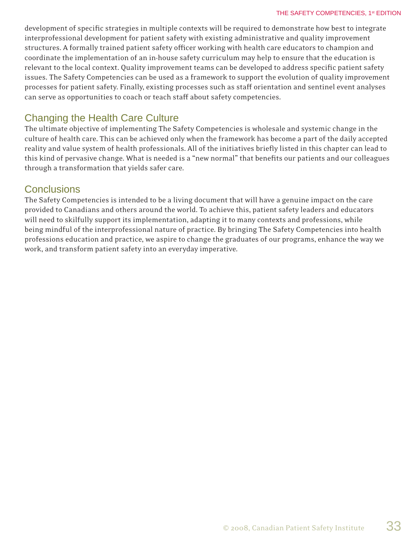development of specific strategies in multiple contexts will be required to demonstrate how best to integrate interprofessional development for patient safety with existing administrative and quality improvement structures. A formally trained patient safety officer working with health care educators to champion and coordinate the implementation of an in-house safety curriculum may help to ensure that the education is relevant to the local context. Quality improvement teams can be developed to address specific patient safety issues. The Safety Competencies can be used as a framework to support the evolution of quality improvement processes for patient safety. Finally, existing processes such as staff orientation and sentinel event analyses can serve as opportunities to coach or teach staff about safety competencies.

### Changing the Health Care Culture

The ultimate objective of implementing The Safety Competencies is wholesale and systemic change in the culture of health care. This can be achieved only when the framework has become a part of the daily accepted reality and value system of health professionals. All of the initiatives briefly listed in this chapter can lead to this kind of pervasive change. What is needed is a "new normal" that benefits our patients and our colleagues through a transformation that yields safer care.

### **Conclusions**

The Safety Competencies is intended to be a living document that will have a genuine impact on the care provided to Canadians and others around the world. To achieve this, patient safety leaders and educators will need to skilfully support its implementation, adapting it to many contexts and professions, while being mindful of the interprofessional nature of practice. By bringing The Safety Competencies into health professions education and practice, we aspire to change the graduates of our programs, enhance the way we work, and transform patient safety into an everyday imperative.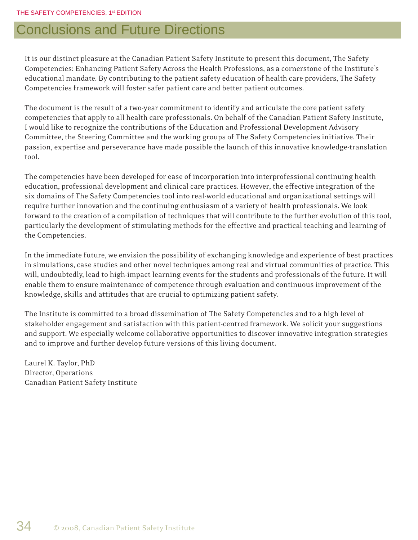# Conclusions and Future Directions

It is our distinct pleasure at the Canadian Patient Safety Institute to present this document, The Safety Competencies: Enhancing Patient Safety Across the Health Professions, as a cornerstone of the Institute's educational mandate. By contributing to the patient safety education of health care providers, The Safety Competencies framework will foster safer patient care and better patient outcomes.

The document is the result of a two-year commitment to identify and articulate the core patient safety competencies that apply to all health care professionals. On behalf of the Canadian Patient Safety Institute, I would like to recognize the contributions of the Education and Professional Development Advisory Committee, the Steering Committee and the working groups of The Safety Competencies initiative. Their passion, expertise and perseverance have made possible the launch of this innovative knowledge-translation tool.

The competencies have been developed for ease of incorporation into interprofessional continuing health education, professional development and clinical care practices. However, the effective integration of the six domains of The Safety Competencies tool into real-world educational and organizational settings will require further innovation and the continuing enthusiasm of a variety of health professionals. We look forward to the creation of a compilation of techniques that will contribute to the further evolution of this tool, particularly the development of stimulating methods for the effective and practical teaching and learning of the Competencies.

In the immediate future, we envision the possibility of exchanging knowledge and experience of best practices in simulations, case studies and other novel techniques among real and virtual communities of practice. This will, undoubtedly, lead to high-impact learning events for the students and professionals of the future. It will enable them to ensure maintenance of competence through evaluation and continuous improvement of the knowledge, skills and attitudes that are crucial to optimizing patient safety.

The Institute is committed to a broad dissemination of The Safety Competencies and to a high level of stakeholder engagement and satisfaction with this patient-centred framework. We solicit your suggestions and support. We especially welcome collaborative opportunities to discover innovative integration strategies and to improve and further develop future versions of this living document.

Laurel K. Taylor, PhD Director, Operations Canadian Patient Safety Institute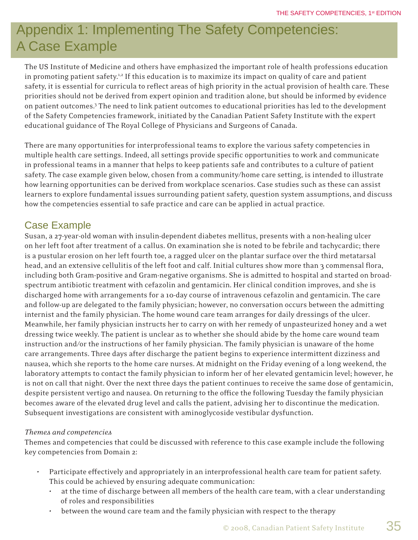# Appendix 1: Implementing The Safety Competencies: A Case Example

The US Institute of Medicine and others have emphasized the important role of health professions education in promoting patient safety.<sup>1,2</sup> If this education is to maximize its impact on quality of care and patient safety, it is essential for curricula to reflect areas of high priority in the actual provision of health care. These priorities should not be derived from expert opinion and tradition alone, but should be informed by evidence on patient outcomes.3 The need to link patient outcomes to educational priorities has led to the development of the Safety Competencies framework, initiated by the Canadian Patient Safety Institute with the expert educational guidance of The Royal College of Physicians and Surgeons of Canada.

There are many opportunities for interprofessional teams to explore the various safety competencies in multiple health care settings. Indeed, all settings provide specific opportunities to work and communicate in professional teams in a manner that helps to keep patients safe and contributes to a culture of patient safety. The case example given below, chosen from a community/home care setting, is intended to illustrate how learning opportunities can be derived from workplace scenarios. Case studies such as these can assist learners to explore fundamental issues surrounding patient safety, question system assumptions, and discuss how the competencies essential to safe practice and care can be applied in actual practice.

### Case Example

Susan, a 27-year-old woman with insulin-dependent diabetes mellitus, presents with a non-healing ulcer on her left foot after treatment of a callus. On examination she is noted to be febrile and tachycardic; there is a pustular erosion on her left fourth toe, a ragged ulcer on the plantar surface over the third metatarsal head, and an extensive cellulitis of the left foot and calf. Initial cultures show more than 3 commensal flora, including both Gram-positive and Gram-negative organisms. She is admitted to hospital and started on broadspectrum antibiotic treatment with cefazolin and gentamicin. Her clinical condition improves, and she is discharged home with arrangements for a 10-day course of intravenous cefazolin and gentamicin. The care and follow-up are delegated to the family physician; however, no conversation occurs between the admitting internist and the family physician. The home wound care team arranges for daily dressings of the ulcer. Meanwhile, her family physician instructs her to carry on with her remedy of unpasteurized honey and a wet dressing twice weekly. The patient is unclear as to whether she should abide by the home care wound team instruction and/or the instructions of her family physician. The family physician is unaware of the home care arrangements. Three days after discharge the patient begins to experience intermittent dizziness and nausea, which she reports to the home care nurses. At midnight on the Friday evening of a long weekend, the laboratory attempts to contact the family physician to inform her of her elevated gentamicin level; however, he is not on call that night. Over the next three days the patient continues to receive the same dose of gentamicin, despite persistent vertigo and nausea. On returning to the office the following Tuesday the family physician becomes aware of the elevated drug level and calls the patient, advising her to discontinue the medication. Subsequent investigations are consistent with aminoglycoside vestibular dysfunction.

### *Themes and competencies*

Themes and competencies that could be discussed with reference to this case example include the following key competencies from Domain 2:

- Participate effectively and appropriately in an interprofessional health care team for patient safety. This could be achieved by ensuring adequate communication:
	- at the time of discharge between all members of the health care team, with a clear understanding of roles and responsibilities
	- between the wound care team and the family physician with respect to the therapy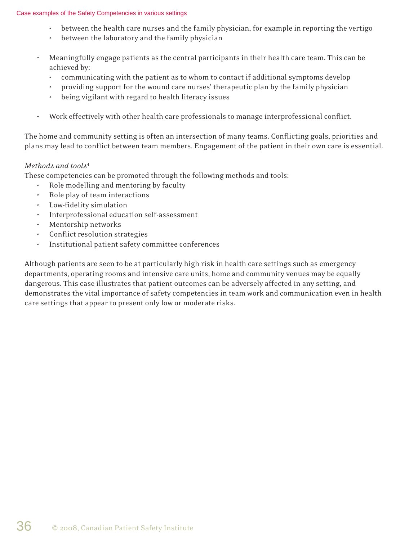#### Case examples of the Safety Competencies in various settings

- between the health care nurses and the family physician, for example in reporting the vertigo
- between the laboratory and the family physician
- Meaningfully engage patients as the central participants in their health care team. This can be achieved by:
	- communicating with the patient as to whom to contact if additional symptoms develop
	- providing support for the wound care nurses' therapeutic plan by the family physician
	- being vigilant with regard to health literacy issues
- Work effectively with other health care professionals to manage interprofessional conflict.

The home and community setting is often an intersection of many teams. Conflicting goals, priorities and plans may lead to conflict between team members. Engagement of the patient in their own care is essential.

#### *Methods and tools*<sup>4</sup>

These competencies can be promoted through the following methods and tools:

- Role modelling and mentoring by faculty
- Role play of team interactions
- Low-fidelity simulation
- Interprofessional education self-assessment
- Mentorship networks
- Conflict resolution strategies
- Institutional patient safety committee conferences

Although patients are seen to be at particularly high risk in health care settings such as emergency departments, operating rooms and intensive care units, home and community venues may be equally dangerous. This case illustrates that patient outcomes can be adversely affected in any setting, and demonstrates the vital importance of safety competencies in team work and communication even in health care settings that appear to present only low or moderate risks.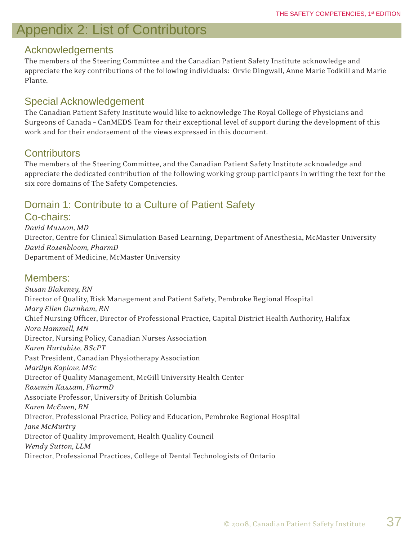# Appendix 2: List of Contributors

### Acknowledgements

The members of the Steering Committee and the Canadian Patient Safety Institute acknowledge and appreciate the key contributions of the following individuals: Orvie Dingwall, Anne Marie Todkill and Marie Plante.

### Special Acknowledgement

The Canadian Patient Safety Institute would like to acknowledge The Royal College of Physicians and Surgeons of Canada – CanMEDS Team for their exceptional level of support during the development of this work and for their endorsement of the views expressed in this document.

### **Contributors**

The members of the Steering Committee, and the Canadian Patient Safety Institute acknowledge and appreciate the dedicated contribution of the following working group participants in writing the text for the six core domains of The Safety Competencies.

## Domain 1: Contribute to a Culture of Patient Safety

Co-chairs:

*David Musson, MD*  Director, Centre for Clinical Simulation Based Learning, Department of Anesthesia, McMaster University *David Rosenbloom, PharmD* Department of Medicine, McMaster University

### Members:

*Susan Blakeney, RN*  Director of Quality, Risk Management and Patient Safety, Pembroke Regional Hospital *Mary Ellen Gurnham, RN* Chief Nursing Officer, Director of Professional Practice, Capital District Health Authority, Halifax *Nora Hammell, MN* Director, Nursing Policy, Canadian Nurses Association *Karen Hurtubise, BScPT* Past President, Canadian Physiotherapy Association *Marilyn Kaplow, MSc* Director of Quality Management, McGill University Health Center *Rosemin Kassam, PharmD* Associate Professor, University of British Columbia *Karen McEwen, RN* Director, Professional Practice, Policy and Education, Pembroke Regional Hospital *Jane McMurtry* Director of Quality Improvement, Health Quality Council *Wendy Sutton, LLM* Director, Professional Practices, College of Dental Technologists of Ontario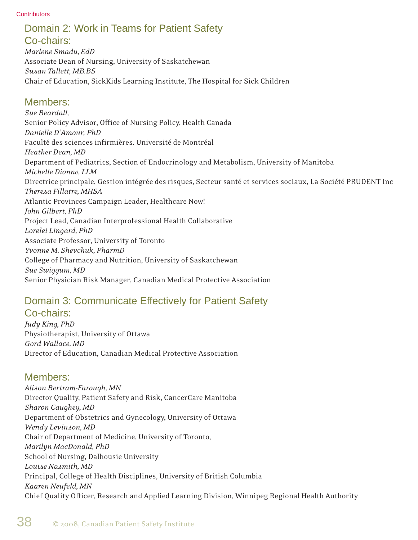## Domain 2: Work in Teams for Patient Safety

### Co-chairs:

*Marlene Smadu, EdD*  Associate Dean of Nursing, University of Saskatchewan *Susan Tallett, MB.BS* Chair of Education, SickKids Learning Institute, The Hospital for Sick Children

### Members:

*Sue Beardall,*  Senior Policy Advisor, Office of Nursing Policy, Health Canada *Danielle D'Amour, PhD* Faculté des sciences infirmières. Université de Montréal *Heather Dean, MD* Department of Pediatrics, Section of Endocrinology and Metabolism, University of Manitoba *Michelle Dionne, LLM* Directrice principale, Gestion intégrée des risques, Secteur santé et services sociaux, La Société PRUDENT Inc *Theresa Fillatre, MHSA* Atlantic Provinces Campaign Leader, Healthcare Now! *John Gilbert, PhD* Project Lead, Canadian Interprofessional Health Collaborative *Lorelei Lingard, PhD* Associate Professor, University of Toronto *Yvonne M. Shevchuk, PharmD* College of Pharmacy and Nutrition, University of Saskatchewan *Sue Swiggum, MD* Senior Physician Risk Manager, Canadian Medical Protective Association

### Domain 3: Communicate Effectively for Patient Safety Co-chairs:

*Judy King, PhD* Physiotherapist, University of Ottawa *Gord Wallace, MD* Director of Education, Canadian Medical Protective Association

### Members:

*Alison Bertram-Farough, MN* Director Quality, Patient Safety and Risk, CancerCare Manitoba *Sharon Caughey, MD* Department of Obstetrics and Gynecology, University of Ottawa *Wendy Levinson, MD* Chair of Department of Medicine, University of Toronto, *Marilyn MacDonald, PhD* School of Nursing, Dalhousie University *Louise Nasmith, MD* Principal, College of Health Disciplines, University of British Columbia *Kaaren Neufeld, MN* Chief Quality Officer, Research and Applied Learning Division, Winnipeg Regional Health Authority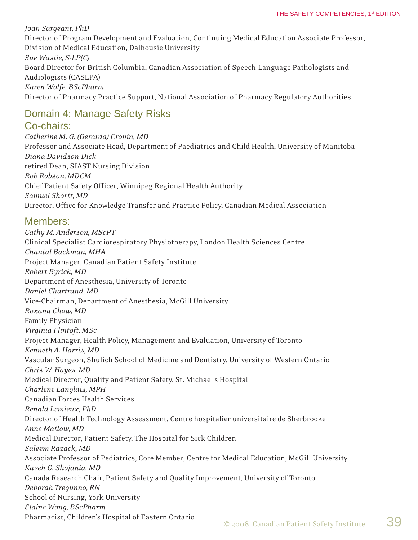*Joan Sargeant, PhD* Director of Program Development and Evaluation, Continuing Medical Education Associate Professor, Division of Medical Education, Dalhousie University *Sue Wastie, S-LP(C)* Board Director for British Columbia, Canadian Association of Speech-Language Pathologists and Audiologists (CASLPA) *Karen Wolfe, BScPharm* Director of Pharmacy Practice Support, National Association of Pharmacy Regulatory Authorities

### Domain 4: Manage Safety Risks

### Co-chairs:

*Catherine M. G. (Gerarda) Cronin, MD* Professor and Associate Head, Department of Paediatrics and Child Health, University of Manitoba *Diana Davidson-Dick* retired Dean, SIAST Nursing Division *Rob Robson, MDCM* Chief Patient Safety Officer, Winnipeg Regional Health Authority *Samuel Shortt, MD* Director, Office for Knowledge Transfer and Practice Policy, Canadian Medical Association

### Members:

*Cathy M. Anderson, MScPT* Clinical Specialist Cardiorespiratory Physiotherapy, London Health Sciences Centre *Chantal Backman, MHA* Project Manager, Canadian Patient Safety Institute *Robert Byrick, MD* Department of Anesthesia, University of Toronto *Daniel Chartrand, MD* Vice-Chairman, Department of Anesthesia, McGill University *Roxana Chow, MD* Family Physician *Virginia Flintoft, MSc* Project Manager, Health Policy, Management and Evaluation, University of Toronto *Kenneth A. Harris, MD* Vascular Surgeon, Shulich School of Medicine and Dentistry, University of Western Ontario *Chris W. Hayes, MD* Medical Director, Quality and Patient Safety, St. Michael's Hospital *Charlene Langlais, MPH* Canadian Forces Health Services *Renald Lemieux, PhD* Director of Health Technology Assessment, Centre hospitalier universitaire de Sherbrooke *Anne Matlow, MD* Medical Director, Patient Safety, The Hospital for Sick Children *Saleem Razack, MD* Associate Professor of Pediatrics, Core Member, Centre for Medical Education, McGill University *Kaveh G. Shojania, MD*  Canada Research Chair, Patient Safety and Quality Improvement, University of Toronto *Deborah Tregunno, RN* School of Nursing, York University *Elaine Wong, BScPharm* Pharmacist, Children's Hospital of Eastern Ontario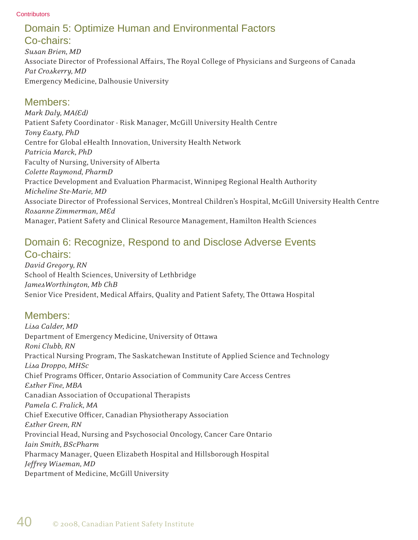# Domain 5: Optimize Human and Environmental Factors

### Co-chairs:

*Susan Brien, MD* Associate Director of Professional Affairs, The Royal College of Physicians and Surgeons of Canada *Pat Croskerry, MD* Emergency Medicine, Dalhousie University

### Members:

*Mark Daly, MA(Ed)* Patient Safety Coordinator - Risk Manager, McGill University Health Centre *Tony Easty, PhD* Centre for Global eHealth Innovation, University Health Network *Patricia Marck, PhD* Faculty of Nursing, University of Alberta *Colette Raymond, PharmD* Practice Development and Evaluation Pharmacist, Winnipeg Regional Health Authority *Micheline Ste-Marie, MD* Associate Director of Professional Services, Montreal Children's Hospital, McGill University Health Centre *Rosanne Zimmerman, MEd* Manager, Patient Safety and Clinical Resource Management, Hamilton Health Sciences

### Domain 6: Recognize, Respond to and Disclose Adverse Events Co-chairs:

*David Gregory, RN* School of Health Sciences, University of Lethbridge *JamesWorthington, Mb ChB* Senior Vice President, Medical Affairs, Quality and Patient Safety, The Ottawa Hospital

### Members:

*Lisa Calder, MD* Department of Emergency Medicine, University of Ottawa *Roni Clubb, RN* Practical Nursing Program, The Saskatchewan Institute of Applied Science and Technology *Lisa Droppo, MHSc* Chief Programs Officer, Ontario Association of Community Care Access Centres *Esther Fine, MBA* Canadian Association of Occupational Therapists *Pamela C. Fralick, MA* Chief Executive Officer, Canadian Physiotherapy Association *Esther Green, RN* Provincial Head, Nursing and Psychosocial Oncology, Cancer Care Ontario *Iain Smith, BScPharm* Pharmacy Manager, Queen Elizabeth Hospital and Hillsborough Hospital *Jeffrey Wiseman, MD* Department of Medicine, McGill University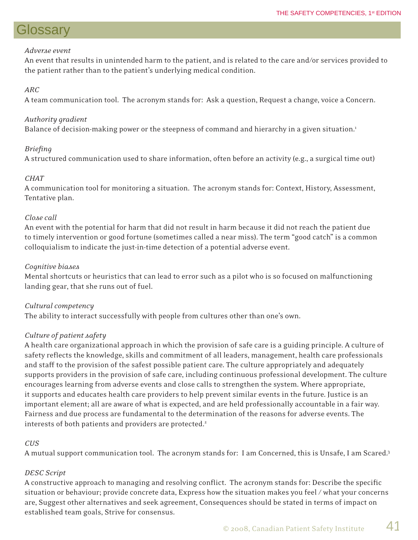# Glossary

#### *Adverse event*

An event that results in unintended harm to the patient, and is related to the care and/or services provided to the patient rather than to the patient's underlying medical condition.

### *ARC*

A team communication tool. The acronym stands for: Ask a question, Request a change, voice a Concern.

### *Authority gradient*

Balance of decision-making power or the steepness of command and hierarchy in a given situation.<sup>1</sup>

### *Briefi ng*

A structured communication used to share information, often before an activity (e.g., a surgical time out)

### *CHAT*

A communication tool for monitoring a situation. The acronym stands for: Context, History, Assessment, Tentative plan.

#### *Close call*

An event with the potential for harm that did not result in harm because it did not reach the patient due to timely intervention or good fortune (sometimes called a near miss). The term "good catch" is a common colloquialism to indicate the just-in-time detection of a potential adverse event.

#### *Cognitive biases*

Mental shortcuts or heuristics that can lead to error such as a pilot who is so focused on malfunctioning landing gear, that she runs out of fuel.

### *Cultural competency*

The ability to interact successfully with people from cultures other than one's own.

### *Culture of patient safety*

A health care organizational approach in which the provision of safe care is a guiding principle. A culture of safety reflects the knowledge, skills and commitment of all leaders, management, health care professionals and staff to the provision of the safest possible patient care. The culture appropriately and adequately supports providers in the provision of safe care, including continuous professional development. The culture encourages learning from adverse events and close calls to strengthen the system. Where appropriate, it supports and educates health care providers to help prevent similar events in the future. Justice is an important element; all are aware of what is expected, and are held professionally accountable in a fair way. Fairness and due process are fundamental to the determination of the reasons for adverse events. The interests of both patients and providers are protected.<sup>2</sup>

### *CUS*

A mutual support communication tool. The acronym stands for: I am Concerned, this is Unsafe, I am Scared.3

### *DESC Script*

A constructive approach to managing and resolving conflict. The acronym stands for: Describe the specific situation or behaviour; provide concrete data, Express how the situation makes you feel / what your concerns are, Suggest other alternatives and seek agreement, Consequences should be stated in terms of impact on established team goals, Strive for consensus.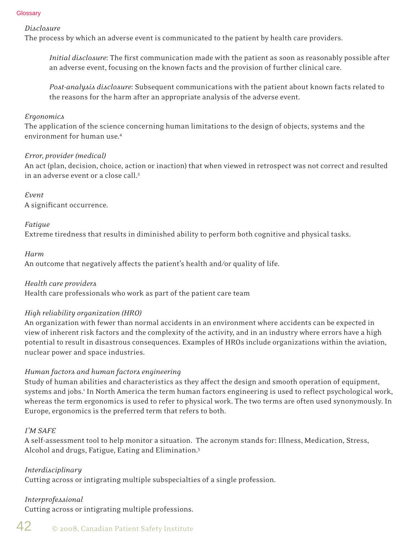#### **Glossarv**

#### *Disclosure*

The process by which an adverse event is communicated to the patient by health care providers.

*Initial disclosure*: The first communication made with the patient as soon as reasonably possible after an adverse event, focusing on the known facts and the provision of further clinical care.

*Post-analysis disclosure*: Subsequent communications with the patient about known facts related to the reasons for the harm after an appropriate analysis of the adverse event.

#### *Ergonomics*

The application of the science concerning human limitations to the design of objects, systems and the environment for human use.4

#### *Error, provider (medical)*

An act (plan, decision, choice, action or inaction) that when viewed in retrospect was not correct and resulted in an adverse event or a close call.*<sup>5</sup>*

#### *Event*

A significant occurrence.

#### *Fatigue*

Extreme tiredness that results in diminished ability to perform both cognitive and physical tasks.

#### *Harm*

An outcome that negatively affects the patient's health and/or quality of life.

#### *Health care providers*

Health care professionals who work as part of the patient care team

#### *High reliability organization (HRO)*

An organization with fewer than normal accidents in an environment where accidents can be expected in view of inherent risk factors and the complexity of the activity, and in an industry where errors have a high potential to result in disastrous consequences. Examples of HROs include organizations within the aviation, nuclear power and space industries.

#### *Human factors and human factors engineering*

Study of human abilities and characteristics as they affect the design and smooth operation of equipment, systems and jobs.<sup>1</sup> In North America the term human factors engineering is used to reflect psychological work, whereas the term ergonomics is used to refer to physical work. The two terms are often used synonymously. In Europe, ergonomics is the preferred term that refers to both.

#### *I'M SAFE*

A self-assessment tool to help monitor a situation. The acronym stands for: Illness, Medication, Stress, Alcohol and drugs, Fatigue, Eating and Elimination.3

*Interdisciplinary* Cutting across or intigrating multiple subspecialties of a single profession.

### *Interprofessional*

Cutting across or intigrating multiple professions.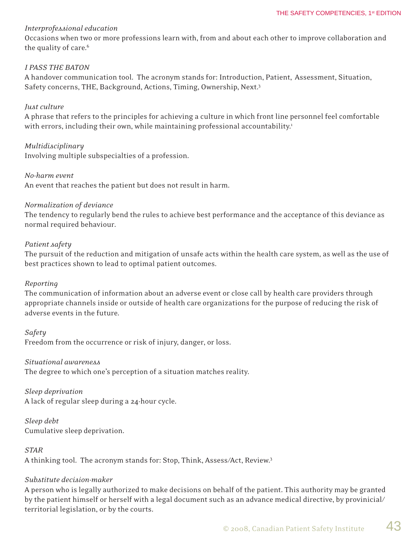#### *Interprofessional education*

Occasions when two or more professions learn with, from and about each other to improve collaboration and the quality of care.<sup>6</sup>

#### *I PASS THE BATON*

A handover communication tool. The acronym stands for: Introduction, Patient, Assessment, Situation, Safety concerns, THE, Background, Actions, Timing, Ownership, Next.3

#### *Just culture*

A phrase that refers to the principles for achieving a culture in which front line personnel feel comfortable with errors, including their own, while maintaining professional accountability.<sup>1</sup>

#### *Multidisciplinary*

Involving multiple subspecialties of a profession.

#### *No-harm event*

An event that reaches the patient but does not result in harm.

#### *Normalization of deviance*

The tendency to regularly bend the rules to achieve best performance and the acceptance of this deviance as normal required behaviour.

#### *Patient safety*

The pursuit of the reduction and mitigation of unsafe acts within the health care system, as well as the use of best practices shown to lead to optimal patient outcomes.

#### *Reporting*

The communication of information about an adverse event or close call by health care providers through appropriate channels inside or outside of health care organizations for the purpose of reducing the risk of adverse events in the future.

*Safety* Freedom from the occurrence or risk of injury, danger, or loss.

#### *Situational awareness*

The degree to which one's perception of a situation matches reality.

#### *Sleep deprivation*

A lack of regular sleep during a 24-hour cycle.

#### *Sleep debt* Cumulative sleep deprivation.

### *STAR*

A thinking tool. The acronym stands for: Stop, Think, Assess/Act, Review.3

### *Substitute decision-maker*

A person who is legally authorized to make decisions on behalf of the patient. This authority may be granted by the patient himself or herself with a legal document such as an advance medical directive, by provinicial/ territorial legislation, or by the courts.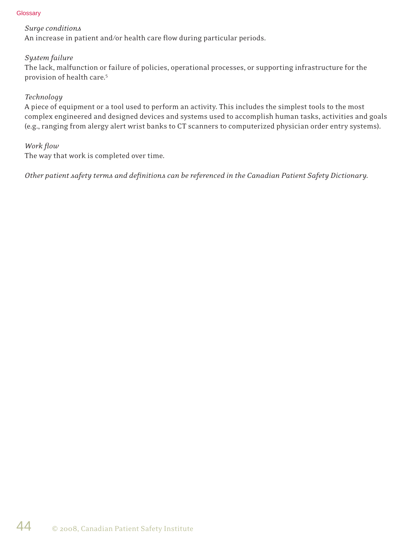#### **Glossary**

#### *Surge conditions*

An increase in patient and/or health care flow during particular periods.

#### *System failure*

The lack, malfunction or failure of policies, operational processes, or supporting infrastructure for the provision of health care.5

#### *Technology*

A piece of equipment or a tool used to perform an activity. This includes the simplest tools to the most complex engineered and designed devices and systems used to accomplish human tasks, activities and goals (e.g., ranging from alergy alert wrist banks to CT scanners to computerized physician order entry systems).

#### *Work flow*

The way that work is completed over time.

*Other patient safety terms and defi nitions can be referenced in the Canadian Patient Safety Dictionary.*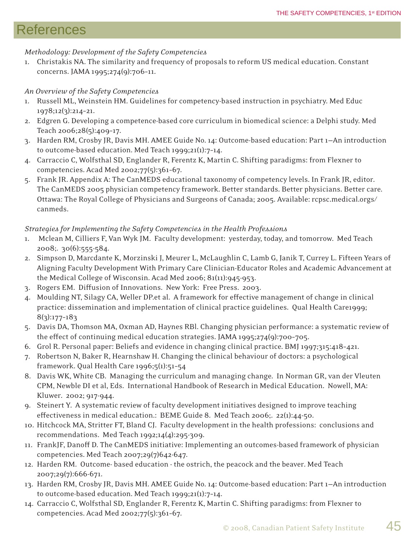## **References**

### *Methodology: Development of the Safety Competencies*

1. Christakis NA. The similarity and frequency of proposals to reform US medical education. Constant concerns. JAMA 1995;274(9):706–11.

### *An Overview of the Safety Competencies*

- 1. Russell ML, Weinstein HM. Guidelines for competency-based instruction in psychiatry. Med Educ 1978;12(3):214–21.
- 2. Edgren G. Developing a competence-based core curriculum in biomedical science: a Delphi study. Med Teach 2006;28(5):409–17.
- 3. Harden RM, Crosby JR, Davis MH. AMEE Guide No. 14: Outcome-based education: Part 1—An introduction to outcome-based education. Med Teach 1999;21(1):7–14.
- 4. Carraccio C, Wolfsthal SD, Englander R, Ferentz K, Martin C. Shifting paradigms: from Flexner to competencies. Acad Med 2002;77(5):361–67.
- 5. Frank JR. Appendix A: The CanMEDS educational taxonomy of competency levels. In Frank JR, editor. The CanMEDS 2005 physician competency framework. Better standards. Better physicians. Better care. Ottawa: The Royal College of Physicians and Surgeons of Canada; 2005. Available: rcpsc.medical.orgs/ canmeds.

### *Strategies for Implementing the Safety Competencies in the Health Professions*

- 1. Mclean M, Cilliers F, Van Wyk JM. Faculty development: yesterday, today, and tomorrow. Med Teach 2008;. 30(6):555-584.
- 2. Simpson D, Marcdante K, Morzinski J, Meurer L, McLaughlin C, Lamb G, Janik T, Currey L. Fifteen Years of Aligning Faculty Development With Primary Care Clinician-Educator Roles and Academic Advancement at the Medical College of Wisconsin. Acad Med 2006; 81(11):945-953.
- 3. Rogers EM. Diffusion of Innovations. New York: Free Press. 2003.
- 4. Moulding NT, Silagy CA, Weller DP.et al. A framework for effective management of change in clinical practice: dissemination and implementation of clinical practice guidelines. Qual Health Care1999; 8(3):177–183
- 5. Davis DA, Thomson MA, Oxman AD, Haynes RBl. Changing physician performance: a systematic review of the effect of continuing medical education strategies. JAMA 1995;274(9):700-705.
- 6. Grol R. Personal paper: Beliefs and evidence in changing clinical practice. BMJ 1997;315:418–421.
- 7. Robertson N, Baker R, Hearnshaw H. Changing the clinical behaviour of doctors: a psychological framework. Qual Health Care 1996;5(1):51–54
- 8. Davis WK, White CB. Managing the curriculum and managing change. In Norman GR, van der Vleuten CPM, Newble DI et al, Eds. International Handbook of Research in Medical Education. Nowell, MA: Kluwer. 2002; 917-944.
- 9. Steinert Y. A systematic review of faculty development initiatives designed to improve teaching effectiveness in medical education.: BEME Guide 8. Med Teach 2006;. 22(1):44-50.
- 10. Hitchcock MA, Stritter FT, Bland CJ. Faculty development in the health professions: conclusions and recommendations. Med Teach 1992;14(4):295-309.
- 11. FrankJF, Danoff D. The CanMEDS initiative: Implementing an outcomes-based framework of physician competencies. Med Teach 2007;29(7)642-647.
- 12. Harden RM. Outcome- based education the ostrich, the peacock and the beaver. Med Teach 2007;29(7):666-671.
- 13. Harden RM, Crosby JR, Davis MH. AMEE Guide No. 14: Outcome-based education: Part 1—An introduction to outcome-based education. Med Teach 1999;21(1):7–14.
- 14. Carraccio C, Wolfsthal SD, Englander R, Ferentz K, Martin C. Shifting paradigms: from Flexner to competencies. Acad Med 2002;77(5):361–67.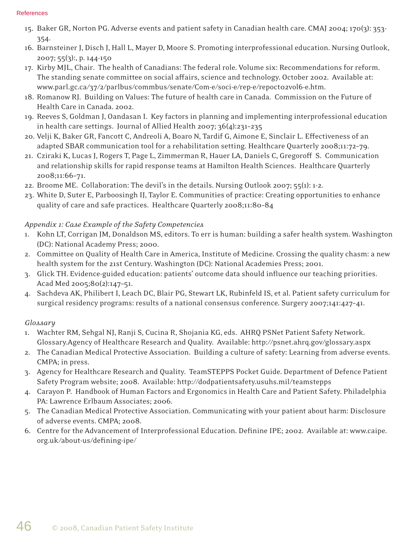#### References

- 15. Baker GR, Norton PG. Adverse events and patient safety in Canadian health care. CMAJ 2004; 170(3): 353- 354.
- 16. Barnsteiner J, Disch J, Hall L, Mayer D, Moore S. Promoting interprofessional education. Nursing Outlook, 2007; 55(3):, p. 144-150
- 17. Kirby MJL, Chair. The health of Canadians: The federal role. Volume six: Recommendations for reform. The standing senate committee on social affairs, science and technology. October 2002. Available at: www.parl.gc.ca/37/2/parlbus/commbus/senate/Com-e/soci-e/rep-e/repoct02vol6-e.htm.
- 18. Romanow RJ. Building on Values: The future of health care in Canada. Commission on the Future of Health Care in Canada. 2002.
- 19. Reeves S, Goldman J, Oandasan I. Key factors in planning and implementing interprofessional education in health care settings. Journal of Allied Health 2007; 36(4):231–235
- 20. Velji K, Baker GR, Fancott C, Andreoli A, Boaro N, Tardif G, Aimone E, Sinclair L. Effectiveness of an adapted SBAR communication tool for a rehabilitation setting. Healthcare Quarterly 2008;11:72–79.
- 21. Cziraki K, Lucas J, Rogers T, Page L, Zimmerman R, Hauer LA, Daniels C, Gregoroff S. Communication and relationship skills for rapid response teams at Hamilton Health Sciences. Healthcare Quarterly 2008;11:66–71.
- 22. Broome ME. Collaboration: The devil's in the details. Nursing Outlook 2007; 55(1): 1-2.
- 23. White D, Suter E, Parboosingh IJ, Taylor E. Communities of practice: Creating opportunities to enhance quality of care and safe practices. Healthcare Quarterly 2008;11:80–84

### *Appendix 1: Case Example of the Safety Competencies*

- 1. Kohn LT, Corrigan JM, Donaldson MS, editors. To err is human: building a safer health system. Washington (DC): National Academy Press; 2000.
- 2. Committee on Quality of Health Care in America, Institute of Medicine. Crossing the quality chasm: a new health system for the 21st Century. Washington (DC): National Academies Press; 2001.
- 3. Glick TH. Evidence-guided education: patients' outcome data should influence our teaching priorities. Acad Med 2005;80(2):147–51.
- 4. Sachdeva AK, Philibert I, Leach DC, Blair PG, Stewart LK, Rubinfeld IS, et al. Patient safety curriculum for surgical residency programs: results of a national consensus conference. Surgery 2007;141:427–41.

### *Glossary*

- 1. Wachter RM, Sehgal NJ, Ranji S, Cucina R, Shojania KG, eds. AHRQ PSNet Patient Safety Network. Glossary.Agency of Healthcare Research and Quality. Available: http://psnet.ahrq.gov/glossary.aspx
- 2. The Canadian Medical Protective Association. Building a culture of safety: Learning from adverse events. CMPA; in press.
- 3. Agency for Healthcare Research and Quality. TeamSTEPPS Pocket Guide. Department of Defence Patient Safety Program website; 2008. Available: http://dodpatientsafety.usuhs.mil/teamstepps
- 4. Carayon P. Handbook of Human Factors and Ergonomics in Health Care and Patient Safety. Philadelphia PA: Lawrence Erlbaum Associates; 2006.
- 5. The Canadian Medical Protective Association. Communicating with your patient about harm: Disclosure of adverse events. CMPA; 2008.
- 6. Centre for the Advancement of Interprofessional Education. Definine IPE; 2002. Available at: www.caipe. org.uk/about-us/defining-ipe/